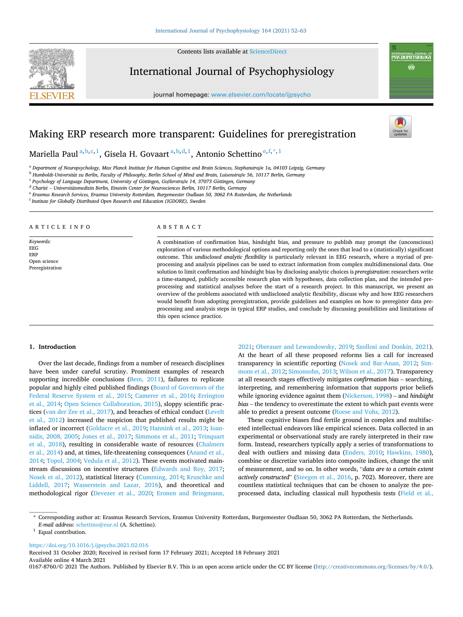Contents lists available at [ScienceDirect](www.sciencedirect.com/science/journal/01678760)



International Journal of Psychophysiology

journal homepage: [www.elsevier.com/locate/ijpsycho](https://www.elsevier.com/locate/ijpsycho)



# Making ERP research more transparent: Guidelines for preregistration

Mariella Paul $\rm{a,b,c,1}$ , Gisela H. Govaart $\rm{a,b,d,1}$ , Antonio Schettino $\rm{e,f,\ast,1}$ 

<sup>a</sup> *Department of Neuropsychology, Max Planck Institute for Human Cognitive and Brain Sciences, Stephanstraβe 1a, 04103 Leipzig, Germany* 

<sup>b</sup> Humboldt-Universität zu Berlin, Faculty of Philosophy, Berlin School of Mind and Brain, Luisenstraße 56, 10117 Berlin, Germany

<sup>c</sup> Psychology of Language Department, University of Göttingen, Goßlerstraße 14, 37073 Göttingen, Germany

<sup>d</sup> Charité – Universitätsmedizin Berlin, Einstein Center for Neurosciences Berlin, 10117 Berlin, Germany

<sup>e</sup> *Erasmus Research Services, Erasmus University Rotterdam, Burgemeester Oudlaan 50, 3062 PA Rotterdam, the Netherlands* 

<sup>f</sup> *Institute for Globally Distributed Open Research and Education (IGDORE), Sweden* 

## ARTICLE INFO

*Keywords:*  EEG ERP Open science Preregistration

#### ABSTRACT

A combination of confirmation bias, hindsight bias, and pressure to publish may prompt the (unconscious) exploration of various methodological options and reporting only the ones that lead to a (statistically) significant outcome. This *undisclosed analytic flexibility* is particularly relevant in EEG research, where a myriad of preprocessing and analysis pipelines can be used to extract information from complex multidimensional data. One solution to limit confirmation and hindsight bias by disclosing analytic choices is *preregistration*: researchers write a time-stamped, publicly accessible research plan with hypotheses, data collection plan, and the intended preprocessing and statistical analyses before the start of a research project. In this manuscript, we present an overview of the problems associated with undisclosed analytic flexibility, discuss why and how EEG researchers would benefit from adopting preregistration, provide guidelines and examples on how to preregister data preprocessing and analysis steps in typical ERP studies, and conclude by discussing possibilities and limitations of this open science practice.

#### **1. Introduction**

Over the last decade, findings from a number of research disciplines have been under careful scrutiny. Prominent examples of research supporting incredible conclusions [\(Bem, 2011](#page-8-0)), failures to replicate popular and highly cited published findings [\(Board of Governors of the](#page-8-0)  [Federal Reserve System et al., 2015](#page-8-0); [Camerer et al., 2016;](#page-8-0) [Errington](#page-9-0)  [et al., 2014](#page-9-0); [Open Science Collaboration, 2015](#page-10-0)), sloppy scientific practices ([van der Zee et al., 2017\)](#page-11-0), and breaches of ethical conduct [\(Levelt](#page-10-0)  [et al., 2012](#page-10-0)) increased the suspicion that published results might be inflated or incorrect [\(Goldacre et al., 2019](#page-9-0); [Hannink et al., 2013;](#page-9-0) [Ioan](#page-9-0)[nidis, 2008, 2005;](#page-9-0) [Jones et al., 2017](#page-9-0); [Simmons et al., 2011](#page-11-0); [Trinquart](#page-11-0)  [et al., 2018](#page-11-0)), resulting in considerable waste of resources ([Chalmers](#page-8-0)  [et al., 2014\)](#page-8-0) and, at times, life-threatening consequences [\(Anand et al.,](#page-8-0)  [2014;](#page-8-0) [Topol, 2004](#page-11-0); [Vedula et al., 2012](#page-11-0)). These events motivated mainstream discussions on incentive structures [\(Edwards and Roy, 2017](#page-9-0); [Nosek et al., 2012](#page-10-0)), statistical literacy ([Cumming, 2014;](#page-9-0) [Kruschke and](#page-10-0)  [Liddell, 2017](#page-10-0); [Wasserstein and Lazar, 2016](#page-11-0)), and theoretical and methodological rigor [\(Devezer et al., 2020;](#page-9-0) [Eronen and Bringmann,](#page-9-0) 

[2021;](#page-9-0) [Oberauer and Lewandowsky, 2019;](#page-10-0) [Szollosi and Donkin, 2021](#page-11-0)). At the heart of all these proposed reforms lies a call for increased transparency in scientific reporting [\(Nosek and Bar-Anan, 2012](#page-10-0); [Sim](#page-11-0)[mons et al., 2012](#page-11-0); [Simonsohn, 2013; Wilson et al., 2017\)](#page-11-0). Transparency at all research stages effectively mitigates *confirmation bias* – searching, interpreting, and remembering information that supports prior beliefs while ignoring evidence against them ([Nickerson, 1998](#page-10-0)) – and *hindsight bias* – the tendency to overestimate the extent to which past events were able to predict a present outcome ([Roese and Vohs, 2012](#page-11-0)).

These cognitive biases find fertile ground in complex and multifaceted intellectual endeavors like empirical sciences. Data collected in an experimental or observational study are rarely interpreted in their raw form. Instead, researchers typically apply a series of transformations to deal with outliers and missing data [\(Enders, 2010](#page-9-0); [Hawkins, 1980](#page-9-0)), combine or discretize variables into composite indices, change the unit of measurement, and so on. In other words, "*data are to a certain extent actively constructed*" [\(Steegen et al., 2016,](#page-11-0) p. 702). Moreover, there are countless statistical techniques that can be chosen to analyze the preprocessed data, including classical null hypothesis tests ([Field et al.,](#page-9-0) 

<https://doi.org/10.1016/j.ijpsycho.2021.02.016>

Available online 4 March 2021 Received 31 October 2020; Received in revised form 17 February 2021; Accepted 18 February 2021

0167-8760/© 2021 The Authors. Published by Elsevier B.V. This is an open access article under the CC BY license [\(http://creativecommons.org/licenses/by/4.0/\)](http://creativecommons.org/licenses/by/4.0/).

<sup>\*</sup> Corresponding author at: Erasmus Research Services, Erasmus University Rotterdam, Burgemeester Oudlaan 50, 3062 PA Rotterdam, the Netherlands. *E-mail address: [schettino@eur.nl](mailto:schettino@eur.nl)* (A. Schettino).<br><sup>1</sup> Equal contribution.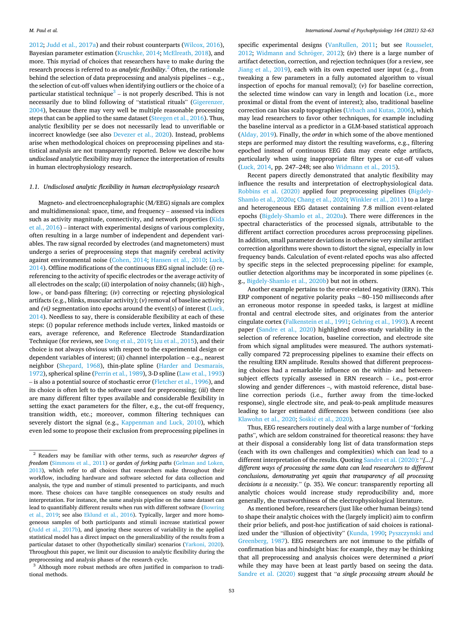[2012; Judd et al., 2017a](#page-9-0)) and their robust counterparts ([Wilcox, 2016](#page-11-0)), Bayesian parameter estimation [\(Kruschke, 2014; McElreath, 2018](#page-10-0)), and more. This myriad of choices that researchers have to make during the research process is referred to as *analytic flexibility*. 2 Often, the rationale behind the selection of data preprocessing and analysis pipelines – e.g., the selection of cut-off values when identifying outliers or the choice of a particular statistical technique<sup>3</sup> – is not properly described. This is not necessarily due to blind following of "statistical rituals" [\(Gigerenzer,](#page-9-0)  [2004\)](#page-9-0), because there may very well be multiple reasonable processing steps that can be applied to the same dataset ([Steegen et al., 2016\)](#page-11-0). Thus, analytic flexibility per se does not necessarily lead to unverifiable or incorrect knowledge (see also [Devezer et al., 2020\)](#page-9-0). Instead, problems arise when methodological choices on preprocessing pipelines and statistical analysis are not transparently reported. Below we describe how *undisclosed* analytic flexibility may influence the interpretation of results in human electrophysiology research.

# *1.1. Undisclosed analytic flexibility in human electrophysiology research*

Magneto- and electroencephalographic (M/EEG) signals are complex and multidimensional: space, time, and frequency – assessed via indices such as activity magnitude, connectivity, and network properties ([Kida](#page-10-0)  [et al., 2016\)](#page-10-0) – interact with experimental designs of various complexity, often resulting in a large number of independent and dependent variables. The raw signal recorded by electrodes (and magnetometers) must undergo a series of preprocessing steps that magnify cerebral activity against environmental noise ([Cohen, 2014](#page-9-0); [Hansen et al., 2010;](#page-9-0) [Luck,](#page-10-0)  [2014\)](#page-10-0). Offline modifications of the continuous EEG signal include: (*i*) rereferencing to the activity of specific electrodes or the average activity of all electrodes on the scalp; (*ii*) interpolation of noisy channels; (*iii*) high-, low-, or band-pass filtering; (*iv*) correcting or rejecting physiological artifacts (e.g., blinks, muscular activity); (*v*) removal of baseline activity; and *(vi)* segmentation into epochs around the event(s) of interest ([Luck,](#page-10-0)  [2014\)](#page-10-0). Needless to say, there is considerable flexibility at each of these steps: (*i*) popular reference methods include vertex, linked mastoids or ears, average reference, and Reference Electrode Standardization Technique (for reviews, see [Dong et al., 2019](#page-9-0); [Liu et al., 2015](#page-10-0)), and their choice is not always obvious with respect to the experimental design or dependent variables of interest; (*ii*) channel interpolation – e.g., nearest neighbor [\(Shepard, 1968](#page-11-0)), thin-plate spline [\(Harder and Desmarais,](#page-9-0)  [1972\)](#page-9-0), spherical spline ([Perrin et al., 1989\)](#page-10-0), 3-D spline ([Law et al., 1993\)](#page-10-0) – is also a potential source of stochastic error ([Fletcher et al., 1996](#page-9-0)), and its choice is often left to the software used for preprocessing; (*iii*) there are many different filter types available and considerable flexibility in setting the exact parameters for the filter, e.g., the cut-off frequency, transition width, etc.; moreover, common filtering techniques can severely distort the signal (e.g., [Kappenman and Luck, 2010](#page-9-0)), which even led some to propose their exclusion from preprocessing pipelines in

tional methods.

specific experimental designs ([VanRullen, 2011](#page-11-0); but see [Rousselet,](#page-11-0)  [2012;](#page-11-0) Widmann and Schröger, 2012); (iv) there is a large number of artifact detection, correction, and rejection techniques (for a review, see [Jiang et al., 2019](#page-9-0)), each with its own expected user input (e.g., from tweaking a few parameters in a fully automated algorithm to visual inspection of epochs for manual removal); (*v*) for baseline correction, the selected time window can vary in length and location (i.e., more proximal or distal from the event of interest); also, traditional baseline correction can bias scalp topographies ([Urbach and Kutas, 2006\)](#page-11-0), which may lead researchers to favor other techniques, for example including the baseline interval as a predictor in a GLM-based statistical approach ([Alday, 2019](#page-8-0)). Finally, the *order* in which some of the above mentioned steps are performed may distort the resulting waveforms, e.g., filtering epoched instead of continuous EEG data may create edge artifacts, particularly when using inappropriate filter types or cut-off values ([Luck, 2014,](#page-10-0) pp. 247–248; see also [Widmann et al., 2015](#page-11-0)).

Recent papers directly demonstrated that analytic flexibility may influence the results and interpretation of electrophysiological data. [Robbins et al. \(2020\)](#page-11-0) applied four preprocessing pipelines ([Bigdely-](#page-8-0)[Shamlo et al., 2020a](#page-8-0); [Chang et al., 2020](#page-8-0); [Winkler et al., 2011\)](#page-11-0) to a large and heterogeneous EEG dataset containing 7.8 million event-related epochs [\(Bigdely-Shamlo et al., 2020a\)](#page-8-0). There were differences in the spectral characteristics of the processed signals, attributable to the different artifact correction procedures across preprocessing pipelines. In addition, small parameter deviations in otherwise very similar artifact correction algorithms were shown to distort the signal, especially in low frequency bands. Calculation of event-related epochs was also affected by specific steps in the selected preprocessing pipeline: for example, outlier detection algorithms may be incorporated in some pipelines (e. g., [Bigdely-Shamlo et al., 2020b\)](#page-8-0) but not in others.

Another example pertains to the error-related negativity (ERN). This ERP component of negative polarity peaks  $\sim$ 80–150 milliseconds after an erroneous motor response in speeded tasks, is largest at midline frontal and central electrode sites, and originates from the anterior cingulate cortex [\(Falkenstein et al., 1991](#page-9-0); [Gehring et al., 1993\)](#page-9-0). A recent paper [\(Sandre et al., 2020](#page-11-0)) highlighted cross-study variability in the selection of reference location, baseline correction, and electrode site from which signal amplitudes were measured. The authors systematically compared 72 preprocessing pipelines to examine their effects on the resulting ERN amplitude. Results showed that different preprocessing choices had a remarkable influence on the within- and betweensubject effects typically assessed in ERN research – i.e., post-error slowing and gender differences –, with mastoid reference, distal baseline correction periods (i.e., further away from the time-locked response), single electrode site, and peak-to-peak amplitude measures leading to larger estimated differences between conditions (see also [Klawohn et al., 2020](#page-10-0); Šoškić et al., 2020).

Thus, EEG researchers routinely deal with a large number of "forking paths", which are seldom constrained for theoretical reasons: they have at their disposal a considerably long list of data transformation steps (each with its own challenges and complexities) which can lead to a different interpretation of the results. Quoting [Sandre et al. \(2020\):](#page-11-0) "*[...] different ways of processing the same data can lead researchers to different conclusions, demonstrating yet again that transparency of all processing decisions is a necessity.*" (p. 35). We concur: transparently reporting all analytic choices would increase study reproducibility and, more generally, the trustworthiness of the electrophysiological literature.

As mentioned before, researchers (just like other human beings) tend to shape their analytic choices with the (largely implicit) aim to confirm their prior beliefs, and post-hoc justification of said choices is rationalized under the "illusion of objectivity" ([Kunda, 1990](#page-10-0); [Pyszczynski and](#page-10-0)  [Greenberg, 1987\)](#page-10-0). EEG researchers are not immune to the pitfalls of confirmation bias and hindsight bias: for example, they may be thinking that all preprocessing and analysis choices were determined *a priori*  while they may have been at least partly based on seeing the data. [Sandre et al. \(2020\)](#page-11-0) suggest that "*a single processing stream should be* 

<sup>2</sup> Readers may be familiar with other terms, such as *researcher degrees of freedom* [\(Simmons et al., 2011\)](#page-11-0) or *garden of forking paths* (Gelman and Loken, [2013\)](#page-9-0), which refer to *all* choices that researchers make throughout their workflow, including hardware and software selected for data collection and analysis, the type and number of stimuli presented to participants, and much more. These choices can have tangible consequences on study results and interpretation. For instance, the same analysis pipeline on the same dataset can lead to quantifiably different results when run with different software [\(Bowring](#page-8-0)  [et al., 2019](#page-8-0); see also [Eklund et al., 2016](#page-9-0)). Typically, larger and more homogeneous samples of both participants and stimuli increase statistical power [\(Judd et al., 2017b\)](#page-9-0), and ignoring these sources of variability in the applied statistical model has a direct impact on the generalizability of the results from a particular dataset to other (hypothetically similar) scenarios [\(Yarkoni, 2020\)](#page-11-0). Throughout this paper, we limit our discussion to analytic flexibility during the preprocessing and analysis phases of the research cycle.<br><sup>3</sup> Although more robust methods are often justified in comparison to tradi-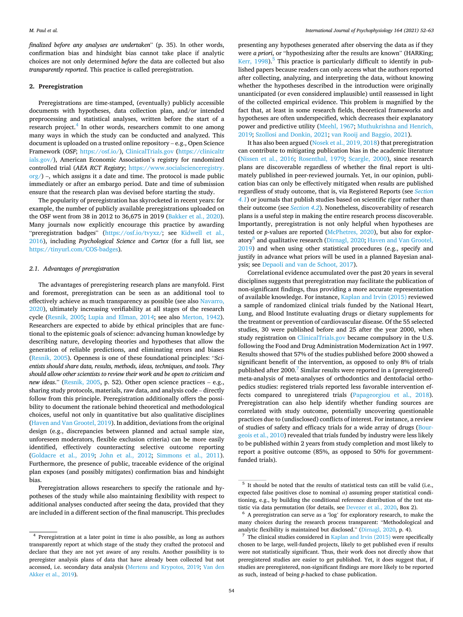<span id="page-2-0"></span>*finalized before any analyses are undertaken*" (p. 35). In other words, confirmation bias and hindsight bias cannot take place if analytic choices are not only determined *before* the data are collected but also *transparently reported*. This practice is called preregistration.

# **2. Preregistration**

Preregistrations are time-stamped, (eventually) publicly accessible documents with hypotheses, data collection plan, and/or intended preprocessing and statistical analyses, written before the start of a research project.<sup>4</sup> In other words, researchers commit to one among many ways in which the study can be conducted and analyzed. This document is uploaded on a trusted online repository – e.g., Open Science Framework (*OSF*; [https://osf.io/\)](https://osf.io/), [ClinicalTrials.gov](http://ClinicalTrials.gov) ([https://clinicaltr](https://clinicaltrials.gov/)  [ials.gov/](https://clinicaltrials.gov/)), American Economic Association's registry for randomized controlled trial (*AEA RCT Registry*; [https://www.socialscienceregistry.](https://www.socialscienceregistry.org/)   $\log$ ) –, which assigns it a date and time. The protocol is made public immediately or after an embargo period. Date and time of submission ensure that the research plan was devised before starting the study.

The popularity of preregistration has skyrocketed in recent years: for example, the number of publicly available preregistrations uploaded on the OSF went from 38 in 2012 to 36,675 in 2019 ([Bakker et al., 2020](#page-8-0)). Many journals now explicitly encourage this practice by awarding "preregistration badges" [\(https://osf.io/tvyxz/;](https://osf.io/tvyxz/) see [Kidwell et al.,](#page-10-0)  [2016\)](#page-10-0), including *Psychological Science* and *Cortex* (for a full list, see [https://tinyurl.com/COS-badges\)](https://tinyurl.com/COS-badges).

#### *2.1. Advantages of preregistration*

The advantages of preregistering research plans are manyfold. First and foremost, preregistration can be seen as an additional tool to effectively achieve as much transparency as possible (see also [Navarro,](#page-10-0)  [2020\)](#page-10-0), ultimately increasing verifiability at all stages of the research cycle ([Resnik, 2005](#page-11-0); [Lupia and Elman, 2014](#page-10-0); see also [Merton, 1942](#page-10-0)). Researchers are expected to abide by ethical principles that are functional to the epistemic goals of science: advancing human knowledge by describing nature, developing theories and hypotheses that allow the generation of reliable predictions, and eliminating errors and biases ([Resnik, 2005\)](#page-11-0). Openness is one of these foundational principles: "*Scientists should share data, results, methods, ideas, techniques, and tools. They should allow other scientists to review their work and be open to criticism and new ideas*." [\(Resnik, 2005](#page-11-0), p. 52). Other open science practices – e.g., sharing study protocols, materials, raw data, and analysis code – directly follow from this principle. Preregistration additionally offers the possibility to document the rationale behind theoretical and methodological choices, useful not only in quantitative but also qualitative disciplines ([Haven and Van Grootel, 2019](#page-9-0)). In addition, deviations from the original design (e.g., discrepancies between planned and actual sample size, unforeseen moderators, flexible exclusion criteria) can be more easily identified, effectively counteracting selective outcome reporting ([Goldacre et al., 2019](#page-9-0); [John et al., 2012](#page-9-0); [Simmons et al., 2011](#page-11-0)). Furthermore, the presence of public, traceable evidence of the original plan exposes (and possibly mitigates) confirmation bias and hindsight bias.

Preregistration allows researchers to specify the rationale and hypotheses of the study while also maintaining flexibility with respect to additional analyses conducted after seeing the data, provided that they are included in a different section of the final manuscript. This precludes presenting any hypotheses generated after observing the data as if they were *a priori*, or "hypothesizing after the results are known" (HARKing; Kerr,  $1998$ ).<sup>5</sup> This practice is particularly difficult to identify in published papers because readers can only access what the authors reported after collecting, analyzing, and interpreting the data, without knowing whether the hypotheses described in the introduction were originally unanticipated (or even considered implausible) until reassessed in light of the collected empirical evidence. This problem is magnified by the fact that, at least in some research fields, theoretical frameworks and hypotheses are often underspecified, which decreases their explanatory power and predictive utility [\(Meehl, 1967](#page-10-0); [Muthukrishna and Henrich,](#page-10-0)  [2019;](#page-10-0) [Szollosi and Donkin, 2021;](#page-11-0) [van Rooij and Baggio, 2021\)](#page-11-0).

It has also been argued ([Nosek et al., 2019, 2018](#page-10-0)) that preregistration can contribute to mitigating publication bias in the academic literature ([Nissen et al., 2016;](#page-10-0) [Rosenthal, 1979;](#page-11-0) [Scargle, 2000](#page-11-0)), since research plans are discoverable regardless of whether the final report is ultimately published in peer-reviewed journals. Yet, in our opinion, publication bias can only be effectively mitigated when *results* are published regardless of study outcome, that is, via Registered Reports (see *[Section](#page-6-0)  [4.1](#page-6-0)*) or journals that publish studies based on scientific rigor rather than their outcome (see *[Section 4.2](#page-6-0)*). Nonetheless, discoverability of research plans is a useful step in making the entire research process discoverable. Importantly, preregistration is not only helpful when hypotheses are tested or *p*-values are reported [\(McPhetres, 2020](#page-10-0)), but also for exploratory<sup>6</sup> and qualitative research (Dirnagl, 2020; Haven and Van Grootel, [2019\)](#page-9-0) and when using other statistical procedures (e.g., specify and justify in advance what priors will be used in a planned Bayesian analysis; see [Depaoli and van de Schoot, 2017\)](#page-9-0).

Correlational evidence accumulated over the past 20 years in several disciplines suggests that preregistration may facilitate the publication of non-significant findings, thus providing a more accurate representation of available knowledge. For instance, [Kaplan and Irvin \(2015\)](#page-9-0) reviewed a sample of randomized clinical trials funded by the National Heart, Lung, and Blood Institute evaluating drugs or dietary supplements for the treatment or prevention of cardiovascular disease. Of the 55 selected studies, 30 were published before and 25 after the year 2000, when study registration on [ClinicalTrials.gov](http://ClinicalTrials.gov) became compulsory in the U.S. following the Food and Drug Administration Modernization Act in 1997. Results showed that 57% of the studies published before 2000 showed a significant benefit of the intervention, as opposed to only 8% of trials published after 2000.7 Similar results were reported in a (preregistered) meta-analysis of meta-analyses of orthodontics and dentofacial orthopedics studies: registered trials reported less favorable intervention effects compared to unregistered trials [\(Papageorgiou et al., 2018](#page-10-0)). Preregistration can also help identify whether funding sources are correlated with study outcome, potentially uncovering questionable practices due to (undisclosed) conflicts of interest. For instance, a review of studies of safety and efficacy trials for a wide array of drugs [\(Bour](#page-8-0)[geois et al., 2010](#page-8-0)) revealed that trials funded by industry were less likely to be published within 2 years from study completion and most likely to report a positive outcome (85%, as opposed to 50% for governmentfunded trials).

<sup>4</sup> Preregistration at a later point in time is also possible, as long as authors transparently report at which stage of the study they crafted the protocol and declare that they are not yet aware of any results. Another possibility is to preregister analysis plans of data that have already been collected but not accessed, i.e. secondary data analysis [\(Mertens and Krypotos, 2019;](#page-10-0) [Van den](#page-11-0)  [Akker et al., 2019\)](#page-11-0).

 $\frac{5}{15}$  It should be noted that the results of statistical tests can still be valid (i.e., expected false positives close to nominal *α*) assuming proper statistical conditioning, e.g., by building the conditional reference distribution of the test sta-tistic via data permutation (for details, see [Devezer et al., 2020](#page-9-0), Box 2).<br><sup>6</sup> A preregistration can serve as a 'log' for exploratory research, to make the

many choices during the research process transparent: "Methodological and analytic flexibility is maintained but disclosed." ([Dirnagl, 2020,](#page-9-0) p. 4).<br><sup>7</sup> The clinical studies considered in [Kaplan and Irvin \(2015\)](#page-9-0) were specifically

chosen to be large, well-funded projects, likely to get published even if results were not statistically significant. Thus, their work does not directly show that preregistered studies are easier to get published. Yet, it does suggest that, if studies are preregistered, non-significant findings are more likely to be reported as such, instead of being *p*-hacked to chase publication.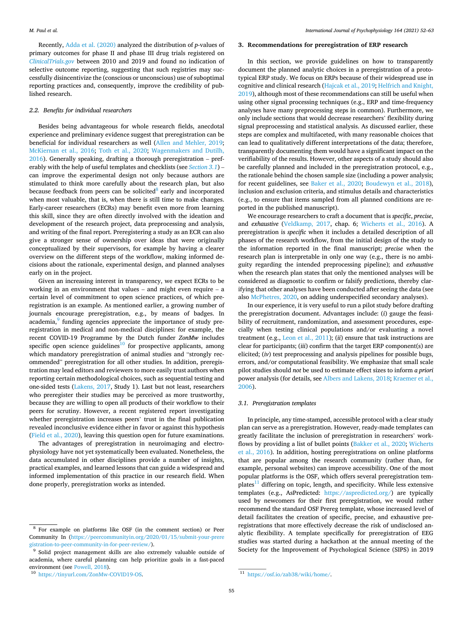<span id="page-3-0"></span>Recently, [Adda et al. \(2020\)](#page-8-0) analyzed the distribution of *p*-values of primary outcomes for phase II and phase III drug trials registered on *[ClinicalTrials.gov](http://ClinicalTrials.gov)* between 2010 and 2019 and found no indication of selective outcome reporting, suggesting that such registries may successfully disincentivize the (conscious or unconscious) use of suboptimal reporting practices and, consequently, improve the credibility of published research.

# *2.2. Benefits for individual researchers*

Besides being advantageous for whole research fields, anecdotal experience and preliminary evidence suggest that preregistration can be beneficial for individual researchers as well ([Allen and Mehler, 2019](#page-8-0); [McKiernan et al., 2016;](#page-10-0) [Toth et al., 2020](#page-11-0); [Wagenmakers and Dutilh,](#page-11-0)  [2016\)](#page-11-0). Generally speaking, drafting a thorough preregistration – preferably with the help of useful templates and checklists (see *Section 3.1*) – can improve the experimental design not only because authors are stimulated to think more carefully about the research plan, but also because feedback from peers can be solicited $8$  early and incorporated when most valuable, that is, when there is still time to make changes. Early-career researchers (ECRs) may benefit even more from learning this skill, since they are often directly involved with the ideation and development of the research project, data preprocessing and analysis, and writing of the final report. Preregistering a study as an ECR can also give a stronger sense of ownership over ideas that were originally conceptualized by their supervisors, for example by having a clearer overview on the different steps of the workflow, making informed decisions about the rationale, experimental design, and planned analyses early on in the project.

Given an increasing interest in transparency, we expect ECRs to be working in an environment that values – and might even require – a certain level of commitment to open science practices, of which preregistration is an example. As mentioned earlier, a growing number of journals encourage preregistration, e.g., by means of badges. In  $\alpha$  academia, $\beta$  funding agencies appreciate the importance of study preregistration in medical and non-medical disciplines: for example, the recent COVID-19 Programme by the Dutch funder *ZonMw* includes specific open science guidelines<sup>10</sup> for prospective applicants, among which mandatory preregistration of animal studies and "strongly recommended" preregistration for all other studies. In addition, preregistration may lead editors and reviewers to more easily trust authors when reporting certain methodological choices, such as sequential testing and one-sided tests [\(Lakens, 2017](#page-10-0), Study 1). Last but not least, researchers who preregister their studies may be perceived as more trustworthy, because they are willing to open all products of their workflow to their peers for scrutiny. However, a recent registered report investigating whether preregistration increases peers' trust in the final publication revealed inconclusive evidence either in favor or against this hypothesis ([Field et al., 2020\)](#page-9-0), leaving this question open for future examinations.

The advantages of preregistration in neuroimaging and electrophysiology have not yet systematically been evaluated. Nonetheless, the data accumulated in other disciplines provide a number of insights, practical examples, and learned lessons that can guide a widespread and informed implementation of this practice in our research field. When done properly, preregistration works as intended.

## **3. Recommendations for preregistration of ERP research**

In this section, we provide guidelines on how to transparently document the planned analytic choices in a preregistration of a prototypical ERP study. We focus on ERPs because of their widespread use in cognitive and clinical research [\(Hajcak et al., 2019; Helfrich and Knight,](#page-9-0)  [2019\)](#page-9-0), although most of these recommendations can still be useful when using other signal processing techniques (e.g., ERP and time-frequency analyses have many preprocessing steps in common). Furthermore, we only include sections that would decrease researchers' flexibility during signal preprocessing and statistical analysis. As discussed earlier, these steps are complex and multifaceted, with many reasonable choices that can lead to qualitatively different interpretations of the data; therefore, transparently documenting them would have a significant impact on the verifiability of the results. However, other aspects of a study should also be carefully planned and included in the preregistration protocol, e.g., the rationale behind the chosen sample size (including a power analysis; for recent guidelines, see [Baker et al., 2020](#page-8-0); [Boudewyn et al., 2018](#page-8-0)), inclusion and exclusion criteria, and stimulus details and characteristics (e.g., to ensure that items sampled from all planned conditions are reported in the published manuscript).

We encourage researchers to craft a document that is *specific*, *precise*, and *exhaustive* [\(Veldkamp, 2017](#page-11-0), chap. 6; [Wicherts et al., 2016](#page-11-0)). A preregistration is *specific* when it includes a detailed description of all phases of the research workflow, from the initial design of the study to the information reported in the final manuscript; *precise* when the research plan is interpretable in only one way (e.g., there is no ambiguity regarding the intended preprocessing pipeline); and *exhaustive*  when the research plan states that only the mentioned analyses will be considered as diagnostic to confirm or falsify predictions, thereby clarifying that other analyses have been conducted after seeing the data (see also [McPhetres, 2020](#page-10-0), on adding underspecified secondary analyses).

In our experience, it is very useful to run a pilot study before drafting the preregistration document. Advantages include: (*i*) gauge the feasibility of recruitment, randomization, and assessment procedures, especially when testing clinical populations and/or evaluating a novel treatment (e.g., [Leon et al., 2011\)](#page-10-0); (*ii*) ensure that task instructions are clear for participants; (*iii*) confirm that the target ERP component(s) are elicited; (*iv*) test preprocessing and analysis pipelines for possible bugs, errors, and/or computational feasibility. We emphasize that small scale pilot studies should *not* be used to estimate effect sizes to inform *a priori*  power analysis (for details, see [Albers and Lakens, 2018;](#page-8-0) [Kraemer et al.,](#page-10-0)  [2006\)](#page-10-0).

# *3.1. Preregistration templates*

In principle, any time-stamped, accessible protocol with a clear study plan can serve as a preregistration. However, ready-made templates can greatly facilitate the inclusion of preregistration in researchers' workflows by providing a list of bullet points ([Bakker et al., 2020;](#page-8-0) [Wicherts](#page-11-0)  [et al., 2016\)](#page-11-0). In addition, hosting preregistrations on online platforms that are popular among the research community (rather than, for example, personal websites) can improve accessibility. One of the most popular platforms is the OSF, which offers several preregistration templates $11$  differing on topic, length, and specificity. While less extensive templates (e.g., AsPredicted: <https://aspredicted.org/>) are typically used by newcomers for their first preregistration, we would rather recommend the standard OSF Prereg template, whose increased level of detail facilitates the creation of specific, precise, and exhaustive preregistrations that more effectively decrease the risk of undisclosed analytic flexibility. A template specifically for preregistration of EEG studies was started during a hackathon at the annual meeting of the Society for the Improvement of Psychological Science (SIPS) in 2019

<sup>8</sup> For example on platforms like OSF (in the comment section) or Peer Community In [\(https://peercommunityin.org/2020/01/15/submit-your-prere](https://peercommunityin.org/2020/01/15/submit-your-preregistration-to-peer-community-in-for-peer-review/) 

<sup>&</sup>lt;sup>9</sup> Solid project management skills are also extremely valuable outside of academia, where careful planning can help prioritize goals in a fast-paced environment (see [Powell, 2018](#page-10-0)).<br><sup>10</sup> <https://tinyurl.com/ZonMw-COVID19-OS>. 11 <https://osf.io/zab38/wiki/home/>.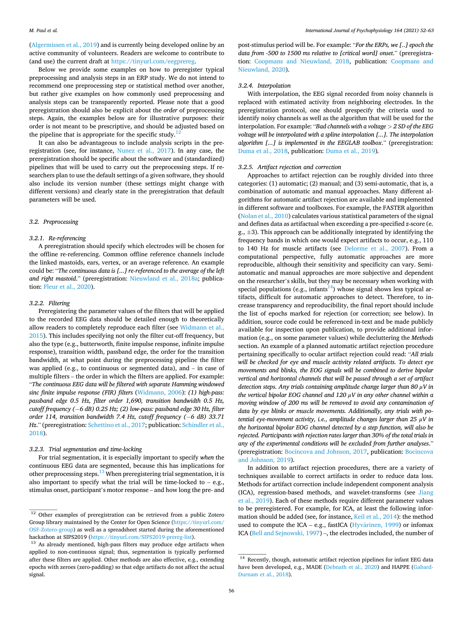([Algermissen et al., 2019\)](#page-8-0) and is currently being developed online by an active community of volunteers. Readers are welcome to contribute to (and use) the current draft at<https://tinyurl.com/eegprereg>.

Below we provide some examples on how to preregister typical preprocessing and analysis steps in an ERP study. We do not intend to recommend one preprocessing step or statistical method over another, but rather give examples on how commonly used preprocessing and analysis steps can be transparently reported. Please note that a good preregistration should also be explicit about the *order* of preprocessing steps. Again, the examples below are for illustrative purposes: their order is not meant to be prescriptive, and should be adjusted based on the pipeline that is appropriate for the specific study.<sup>12</sup>

It can also be advantageous to include analysis scripts in the preregistration (see, for instance, [Nunez et al., 2017](#page-10-0)). In any case, the preregistration should be specific about the software and (standardized) pipelines that will be used to carry out the preprocessing steps. If researchers plan to use the default settings of a given software, they should also include its version number (these settings might change with different versions) and clearly state in the preregistration that default parameters will be used.

# *3.2. Preprocessing*

#### *3.2.1. Re-referencing*

A preregistration should specify which electrodes will be chosen for the offline re-referencing. Common offline reference channels include the linked mastoids, ears, vertex, or an average reference. An example could be: "*The continuous data is [...] re-referenced to the average of the left and right mastoid*." (preregistration: [Nieuwland et al., 2018a;](#page-10-0) publication: [Fleur et al., 2020](#page-9-0)).

## *3.2.2. Filtering*

Preregistering the parameter values of the filters that will be applied to the recorded EEG data should be detailed enough to theoretically allow readers to completely reproduce each filter (see [Widmann et al.,](#page-11-0)  [2015\)](#page-11-0). This includes specifying not only the filter cut-off frequency, but also the type (e.g., butterworth, finite impulse response, infinite impulse response), transition width, passband edge, the order for the transition bandwidth, at what point during the preprocessing pipeline the filter was applied (e.g., to continuous or segmented data), and – in case of multiple filters – the order in which the filters are applied. For example: "*The continuous EEG data will be filtered with separate Hamming windowed sinc finite impulse response (FIR) filters* ([Widmann, 2006](#page-11-0)): *(1) high-pass: passband edge 0.5 Hz, filter order 1,690, transition bandwidth 0.5 Hz, cutoff frequency (*−6 dB) 0.25 Hz; (2) low-pass: passband edge 30 Hz, filter *order 114, transition bandwidth 7.4 Hz, cutoff frequency (−6 dB) 33.71 Hz*." (preregistration: *Schettino et al., 2017; publication: Schindler et al.,* [2018\)](#page-11-0).

#### *3.2.3. Trial segmentation and time-locking*

For trial segmentation, it is especially important to specify *when* the continuous EEG data are segmented, because this has implications for other preprocessing steps.<sup>13</sup> When preregistering trial segmentation, it is also important to specify what the trial will be time-locked to – e.g., stimulus onset, participant's motor response – and how long the pre- and

post-stimulus period will be. For example: "*For the ERPs, we [..] epoch the data from -500 to 1500 ms relative to [critical word] onset*." (preregistration: [Coopmans and Nieuwland, 2018,](#page-9-0) publication: [Coopmans and](#page-9-0)  [Nieuwland, 2020](#page-9-0)).

## *3.2.4. Interpolation*

With interpolation, the EEG signal recorded from noisy channels is replaced with estimated activity from neighboring electrodes. In the preregistration protocol, one should prespecify the criteria used to identify noisy channels as well as the algorithm that will be used for the interpolation. For example: "*Bad channels with a voltage > 2 SD of the EEG voltage will be interpolated with a spline interpolation [...]. The interpolation algorithm [...] is implemented in the EEGLAB toolbox*." (preregistration: [Duma et al., 2018](#page-9-0), publication: [Duma et al., 2019\)](#page-9-0)*.* 

## *3.2.5. Artifact rejection and correction*

Approaches to artifact rejection can be roughly divided into three categories: (1) automatic; (2) manual; and (3) semi-automatic, that is, a combination of automatic and manual approaches. Many different algorithms for automatic artifact rejection are available and implemented in different software and toolboxes. For example, the FASTER algorithm ([Nolan et al., 2010](#page-10-0)) calculates various statistical parameters of the signal and defines data as artifactual when exceeding a pre-specified *z*-score (e.  $g_{1}$ ,  $\pm$ 3). This approach can be additionally integrated by identifying the frequency bands in which one would expect artifacts to occur, e.g., 110 to 140 Hz for muscle artifacts (see [Delorme et al., 2007](#page-9-0)). From a computational perspective, fully automatic approaches are more reproducible, although their sensitivity and specificity can vary. Semiautomatic and manual approaches are more subjective and dependent on the researcher's skills, but they may be necessary when working with special populations (e.g., infants<sup>14</sup>) whose signal shows less typical artifacts, difficult for automatic approaches to detect. Therefore, to increase transparency and reproducibility, the final report should include the list of epochs marked for rejection (or correction; see below). In addition, source code could be referenced in-text and be made publicly available for inspection upon publication, to provide additional information (e.g., on some parameter values) while decluttering the *Methods*  section. An example of a planned automatic artifact rejection procedure pertaining specifically to ocular artifact rejection could read: "*All trials will be checked for eye and muscle activity related artifacts. To detect eye movements and blinks, the EOG signals will be combined to derive bipolar vertical and horizontal channels that will be passed through a set of artifact detection steps. Any trials containing amplitude change larger than 80 μV in the vertical bipolar EOG channel and 120 μV in any other channel within a moving window of 200 ms will be removed to avoid any contamination of data by eye blinks or muscle movements. Additionally, any trials with potential eye-movement activity, i.e., amplitude changes larger than 25 μV in the horizontal bipolar EOG channel detected by a step function, will also be rejected. Participants with rejection rates larger than 30% of the total trials in any of the experimental conditions will be excluded from further analyses*." (preregistration: [Bocincova and Johnson, 2017](#page-8-0), publication: [Bocincova](#page-8-0)  [and Johnson, 2019\)](#page-8-0).

In addition to artifact rejection procedures, there are a variety of techniques available to correct artifacts in order to reduce data loss. Methods for artifact correction include independent component analysis (ICA), regression-based methods, and wavelet-transforms (see [Jiang](#page-9-0)  [et al., 2019\)](#page-9-0). Each of these methods require different parameter values to be preregistered. For example, for ICA, at least the following information should be added (see, for instance, [Keil et al., 2014\)](#page-10-0): the method used to compute the ICA  $-$  e.g., fastICA (Hyvärinen, 1999) or infomax ICA [\(Bell and Sejnowski, 1997\)](#page-8-0) –, the electrodes included, the number of

<sup>&</sup>lt;sup>12</sup> Other examples of preregistration can be retrieved from a public Zotero Group library maintained by the Center for Open Science [\(https://tinyurl.com/](https://tinyurl.com/OSF-Zotero-group)  [OSF-Zotero-group](https://tinyurl.com/OSF-Zotero-group)) as well as a spreadsheet started during the aforementioned hackathon at SIPS2019 (https://tinyurl.com/SIPS2019-prereg-list).

 $13$  As already mentioned, high-pass filters may produce edge artifacts when applied to non-continuous signal; thus, segmentation is typically performed after these filters are applied. Other methods are also effective, e.g., extending epochs with zeroes (zero-padding) so that edge artifacts do not affect the actual signal.

<sup>14</sup> Recently, though, automatic artifact rejection pipelines for infant EEG data have been developed, e.g., MADE [\(Debnath et al., 2020](#page-9-0)) and HAPPE [\(Gabard-](#page-9-0)[Durnam et al., 2018](#page-9-0)).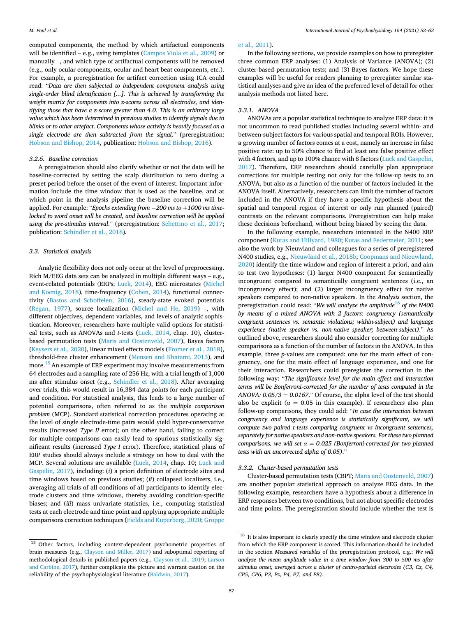computed components, the method by which artifactual components will be identified – e.g., using templates ([Campos Viola et al., 2009\)](#page-8-0) or manually –, and which type of artifactual components will be removed (e.g., only ocular components, ocular and heart beat components, etc.). For example, a preregistration for artifact correction using ICA could read: "*Data are then subjected to independent component analysis using single-order blind identification [...]. This is achieved by transforming the weight matrix for components into z-scores across all electrodes, and identifying those that have a z-score greater than 4.0. This is an arbitrary large value which has been determined in previous studies to identify signals due to blinks or to other artefact. Components whose activity is heavily focused on a single electrode are then subtracted from the signal*." (preregistration: [Hobson and Bishop, 2014,](#page-9-0) publication: [Hobson and Bishop, 2016\)](#page-9-0).

#### *3.2.6. Baseline correction*

A preregistration should also clarify whether or not the data will be baseline-corrected by setting the scalp distribution to zero during a preset period before the onset of the event of interest. Important information include the time window that is used as the baseline, and at which point in the analysis pipeline the baseline correction will be applied. For example: "*Epochs extending from* − *200 ms to* +*1000 ms timelocked to word onset will be created, and baseline correction will be applied using the pre-stimulus interval*." (preregistration: [Schettino et al., 2017](#page-11-0); publication: [Schindler et al., 2018](#page-11-0))*.* 

## *3.3. Statistical analysis*

Analytic flexibility does not only occur at the level of preprocessing. Rich M/EEG data sets can be analyzed in multiple different ways – e.g., event-related potentials (ERPs; [Luck, 2014\)](#page-10-0), EEG microstates ([Michel](#page-10-0)  [and Koenig, 2018](#page-10-0)), time-frequency ([Cohen, 2014](#page-9-0)), functional connectivity ([Bastos and Schoffelen, 2016\)](#page-8-0), steady-state evoked potentials ([Regan, 1977](#page-10-0)), source localization [\(Michel and He, 2019](#page-10-0)) –, with different objectives, dependent variables, and levels of analytic sophistication. Moreover, researchers have multiple valid options for statistical tests, such as ANOVAs and *t*-tests ([Luck, 2014,](#page-10-0) chap. 10), clusterbased permutation tests [\(Maris and Oostenveld, 2007\)](#page-10-0), Bayes factors ([Keysers et al., 2020\)](#page-10-0), linear mixed effects models (Frömer [et al., 2018](#page-9-0)), threshold-free cluster enhancement [\(Mensen and Khatami, 2013\)](#page-10-0), and more.15 An example of ERP experiment may involve measurements from 64 electrodes and a sampling rate of 256 Hz, with a trial length of 1,000 ms after stimulus onset (e.g., [Schindler et al., 2018\)](#page-11-0). After averaging over trials, this would result in 16,384 data points for each participant and condition. For statistical analysis, this leads to a large number of potential comparisons, often referred to as the *multiple comparison problem* (MCP). Standard statistical correction procedures operating at the level of single electrode-time pairs would yield hyper-conservative results (increased *Type II* error); on the other hand, failing to correct for multiple comparisons can easily lead to spurious statistically significant results (increased *Type I* error). Therefore, statistical plans of ERP studies should always include a strategy on how to deal with the MCP. Several solutions are available ([Luck, 2014](#page-10-0), chap. 10; [Luck and](#page-10-0)  [Gaspelin, 2017\)](#page-10-0), including: (*i*) a priori definition of electrode sites and time windows based on previous studies; (*ii*) collapsed localizers, i.e., averaging all trials of all conditions of all participants to identify electrode clusters and time windows, thereby avoiding condition-specific biases; and (*iii*) mass univariate statistics, i.e., computing statistical tests at each electrode and time point and applying appropriate multiple comparisons correction techniques [\(Fields and Kuperberg, 2020; Groppe](#page-9-0) 

# [et al., 2011\)](#page-9-0).

In the following sections, we provide examples on how to preregister three common ERP analyses: (1) Analysis of Variance (ANOVA); (2) cluster-based permutation tests; and (3) Bayes factors. We hope these examples will be useful for readers planning to preregister similar statistical analyses and give an idea of the preferred level of detail for other analysis methods not listed here.

## *3.3.1. ANOVA*

ANOVAs are a popular statistical technique to analyze ERP data: it is not uncommon to read published studies including several within- and between-subject factors for various spatial and temporal ROIs. However, a growing number of factors comes at a cost, namely an increase in false positive rate: up to 50% chance to find at least one false positive effect with 4 factors, and up to 100% chance with 8 factors ([Luck and Gaspelin,](#page-10-0)  [2017\)](#page-10-0). Therefore, ERP researchers should carefully plan appropriate corrections for multiple testing not only for the follow-up tests to an ANOVA, but also as a function of the number of factors included in the ANOVA itself. Alternatively, researchers can limit the number of factors included in the ANOVA if they have a specific hypothesis about the spatial and temporal region of interest or only run planned (paired) contrasts on the relevant comparisons. Preregistration can help make these decisions beforehand, without being biased by seeing the data.

In the following example, researchers interested in the N400 ERP component ([Kutas and Hillyard, 1980](#page-10-0); [Kutas and Federmeier, 2011](#page-10-0); see also the work by Nieuwland and colleagues for a series of preregistered N400 studies, e.g., [Nieuwland et al., 2018b;](#page-10-0) [Coopmans and Nieuwland,](#page-9-0)  [2020\)](#page-9-0) identify the time window and region of interest a priori, and aim to test two hypotheses: (1) larger N400 component for semantically incongruent compared to semantically congruent sentences (i.e., an incongruency effect); and (2) larger incongruency effect for native speakers compared to non-native speakers. In the *Analysis* section, the preregistration could read: "*We will analyze the amplitude*16 *of the N400 by means of a mixed ANOVA with 2 factors: congruency (semantically congruent sentences vs. semantic violations; within-subject) and language experience (native speaker vs. non-native speaker; between-subject)*." As outlined above, researchers should also consider correcting for multiple comparisons as a function of the number of factors in the ANOVA. In this example, three *p*-values are computed: one for the main effect of congruency, one for the main effect of language experience, and one for their interaction. Researchers could preregister the correction in the following way: "*The significance level for the main effect and interaction terms will be Bonferroni-corrected for the number of tests computed in the ANOVA: 0.05/3* = *0.0167*." Of course, the alpha level of the test should also be explicit ( $\alpha = 0.05$  in this example). If researchers also plan follow-up comparisons, they could add: "*In case the interaction between congruency and language experience is statistically significant, we will compute two paired t-tests comparing congruent vs incongruent sentences, separately for native speakers and non-native speakers. For these two planned comparisons, we will set*  $\alpha = 0.025$  *(Bonferroni-corrected for two planned tests with an uncorrected alpha of 0.05)*."

## *3.3.2. Cluster-based permutation tests*

Cluster-based permutation tests (CBPT; [Maris and Oostenveld, 2007\)](#page-10-0) are another popular statistical approach to analyze EEG data. In the following example, researchers have a hypothesis about a difference in ERP responses between two conditions, but not about specific electrodes and time points. The preregistration should include whether the test is

<sup>&</sup>lt;sup>15</sup> Other factors, including context-dependent psychometric properties of brain measures (e.g., [Clayson and Miller, 2017](#page-8-0)) and suboptimal reporting of methodological details in published papers (e.g., [Clayson et al., 2019;](#page-8-0) [Larson](#page-10-0)  [and Carbine, 2017\)](#page-10-0), further complicate the picture and warrant caution on the reliability of the psychophysiological literature [\(Baldwin, 2017\)](#page-8-0).

 $16\,$  It is also important to clearly specify the time window and electrode cluster from which the ERP component is scored. This information should be included in the section *Measured variables* of the preregistration protocol, e.g.: *We will analyze the mean amplitude value in a time window from 300 to 500 ms after stimulus onset, averaged across a cluster of centro-parietal electrodes (C3, Cz, C4, CP5, CP6, P3, Pz, P4, P7, and P8).*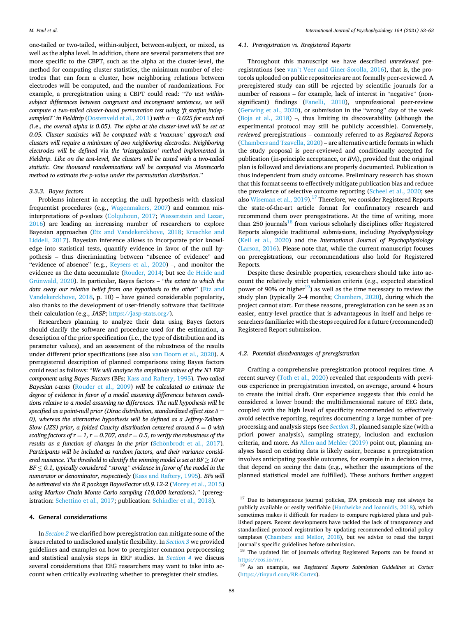<span id="page-6-0"></span>one-tailed or two-tailed, within-subject, between-subject, or mixed, as well as the alpha level. In addition, there are several parameters that are more specific to the CBPT, such as the alpha at the cluster-level, the method for computing cluster statistics, the minimum number of electrodes that can form a cluster, how neighboring relations between electrodes will be computed, and the number of randomizations. For example, a preregistration using a CBPT could read: "*To test withinsubject differences between congruent and incongruent sentences, we will compute a two-tailed cluster-based permutation test using 'ft\_statfun\_indepsamplesT' in Fieldtrip* ([Oostenveld et al., 2011\)](#page-10-0) *with*  $\alpha = 0.025$  *for each tail (*i.e.*, the overall alpha is 0.05). The alpha at the cluster-level will be set at 0.05. Cluster statistics will be computed with a 'maxsum' approach and clusters will require a minimum of two neighboring electrodes. Neighboring electrodes will be defined* via *the 'triangulation' method implemented in Fieldtrip. Like on the test-level, the clusters will be tested with a two-tailed statistic. One thousand randomizations will be computed* via *Montecarlo method to estimate the p-value under the permutation distribution*."

# *3.3.3. Bayes factors*

Problems inherent in accepting the null hypothesis with classical frequentist procedures (e.g., [Wagenmakers, 2007](#page-11-0)) and common misinterpretations of *p*-values [\(Colquhoun, 2017](#page-9-0); [Wasserstein and Lazar,](#page-11-0)  [2016\)](#page-11-0) are leading an increasing number of researchers to explore Bayesian approaches [\(Etz and Vandekerckhove, 2018](#page-9-0); [Kruschke and](#page-10-0)  [Liddell, 2017](#page-10-0)). Bayesian inference allows to incorporate prior knowledge into statistical tests, quantify evidence in favor of the null hypothesis – thus discriminating between "absence of evidence" and "evidence of absence" (e.g., [Keysers et al., 2020\)](#page-10-0) –, and monitor the evidence as the data accumulate [\(Rouder, 2014;](#page-11-0) but see [de Heide and](#page-9-0)  [Grünwald, 2020](#page-9-0)). In particular, Bayes factors – "*the extent to which the data sway our relative belief from one hypothesis to the other*" [\(Etz and](#page-9-0)  [Vandekerckhove, 2018](#page-9-0), p. 10) – have gained considerable popularity, also thanks to the development of user-friendly software that facilitate their calculation (e.g., *JASP*;<https://jasp-stats.org/>).

Researchers planning to analyze their data using Bayes factors should clarify the software and procedure used for the estimation, a description of the prior specification (i.e., the type of distribution and its parameter values), and an assessment of the robustness of the results under different prior specifications (see also [van Doorn et al., 2020\)](#page-11-0). A preregistered description of planned comparisons using Bayes factors could read as follows: "*We will analyze the amplitude values of the N1 ERP component using Bayes Factors* (BFs; [Kass and Raftery, 1995\)](#page-10-0)*. Two-tailed Bayesian t-tests* ([Rouder et al., 2009](#page-11-0)) *will be calculated to estimate the degree of evidence in favor of a model assuming differences between conditions relative to a model assuming no differences. The null hypothesis will be specified as a point-null prior (Dirac distribution, standardized effect size δ* = *0), whereas the alternative hypothesis will be defined as a Jeffrey-Zellner-Siow (JZS) prior, a folded Cauchy distribution centered around*  $\delta = 0$  *with scaling factors of*  $r = 1$ *,*  $r = 0.707$ *, and*  $r = 0.5$ *, to verify the robustness of the results as a function of changes in the prior (Schönbrodt et al., 2017). Participants will be included as random factors, and their variance considered nuisance. The threshold to identify the winning model is set at*  $BF \geq 10$  *or BF* ≤ *0.1, typically considered "strong" evidence in favor of the model in the numerator or denominator, respectively* ([Kass and Raftery, 1995](#page-10-0))*. BFs will be estimated* via *the R package BayesFactor v0.9.12-2* ([Morey et al., 2015\)](#page-10-0) *using Markov Chain Monte Carlo sampling (10,000 iterations)."* (preregistration: [Schettino et al., 2017](#page-11-0); publication: [Schindler et al., 2018](#page-11-0)).

#### **4. General considerations**

In *[Section 2](#page-2-0)* we clarified how preregistration can mitigate some of the issues related to undisclosed analytic flexibility. In *[Section 3](#page-3-0)* we provided guidelines and examples on how to preregister common preprocessing and statistical analysis steps in ERP studies. In *Section 4* we discuss several considerations that EEG researchers may want to take into account when critically evaluating whether to preregister their studies.

# *4.1. Preregistration vs. Rregistered Reports*

Throughout this manuscript we have described *unreviewed* preregistrations (see van'[t Veer and Giner-Sorolla, 2016](#page-11-0)), that is, the protocols uploaded on public repositories are not formally peer-reviewed. A preregistered study can still be rejected by scientific journals for a number of reasons – for example, lack of interest in "negative" (nonsignificant) findings ([Fanelli, 2010](#page-9-0)), unprofessional peer-review ([Gerwing et al., 2020\)](#page-9-0), or submission in the "wrong" day of the week ([Boja et al., 2018](#page-8-0)) –, thus limiting its discoverability (although the experimental protocol may still be publicly accessible). Conversely, *reviewed* preregistrations – commonly referred to as *Registered Reports*  ([Chambers and Tzavella, 2020](#page-8-0)) – are alternative article formats in which the study proposal is peer-reviewed and conditionally accepted for publication (in-principle acceptance, or *IPA*), provided that the original plan is followed and deviations are properly documented. Publication is thus independent from study outcome. Preliminary research has shown that this format seems to effectively mitigate publication bias and reduce the prevalence of selective outcome reporting ([Scheel et al., 2020;](#page-11-0) see also [Wiseman et al., 2019\)](#page-11-0).<sup>17</sup> Therefore, we consider Registered Reports the state-of-the-art article format for confirmatory research and recommend them over preregistrations. At the time of writing, more than 250 journals $18$  from various scholarly disciplines offer Registered Reports alongside traditional submissions, including *Psychophysiology*  ([Keil et al., 2020\)](#page-10-0) and the *International Journal of Psychophysiology*  ([Larson, 2016\)](#page-10-0). Please note that, while the current manuscript focuses on preregistrations, our recommendations also hold for Registered Reports.

Despite these desirable properties, researchers should take into account the relatively strict submission criteria (e.g., expected statistical power of 90% or higher<sup>19</sup>) as well as the time necessary to review the study plan (typically 2–4 months; [Chambers, 2020\)](#page-8-0), during which the project cannot start. For these reasons, preregistration can be seen as an easier, entry-level practice that is advantageous in itself and helps researchers familiarize with the steps required for a future (recommended) Registered Report submission.

## *4.2. Potential disadvantages of preregistration*

Crafting a comprehensive preregistration protocol requires time. A recent survey ([Toth et al., 2020](#page-11-0)) revealed that respondents with previous experience in preregistration invested, on average, around 4 hours to create the initial draft. Our experience suggests that this could be considered a lower bound: the multidimensional nature of EEG data, coupled with the high level of specificity recommended to effectively avoid selective reporting, requires documenting a large number of preprocessing and analysis steps (see *[Section 3](#page-3-0)*), planned sample size (with a priori power analysis), sampling strategy, inclusion and exclusion criteria, and more. As [Allen and Mehler \(2019\)](#page-8-0) point out, planning analyses based on existing data is likely easier, because a preregistration involves anticipating possible outcomes, for example in a decision tree, that depend on seeing the data (e.g., whether the assumptions of the planned statistical model are fulfilled). These authors further suggest

 $\overline{17}$  Due to heterogeneous journal policies, IPA protocols may not always be publicly available or easily verifiable [\(Hardwicke and Ioannidis, 2018](#page-9-0)), which sometimes makes it difficult for readers to compare registered plans and published papers. Recent developments have tackled the lack of transparency and standardized protocol registration by updating recommended editorial policy templates ([Chambers and Mellor, 2018](#page-8-0)), but we advise to read the target journal's specific guidelines before submission. 18 The updated list of journals offering Registered Reports can be found at

<https://cos.io/rr/>. 19 As an example, see *Registered Reports Submission Guidelines* at *Cortex* 

[<sup>\(</sup>https://tinyurl.com/RR-Cortex\)](https://tinyurl.com/RR-Cortex).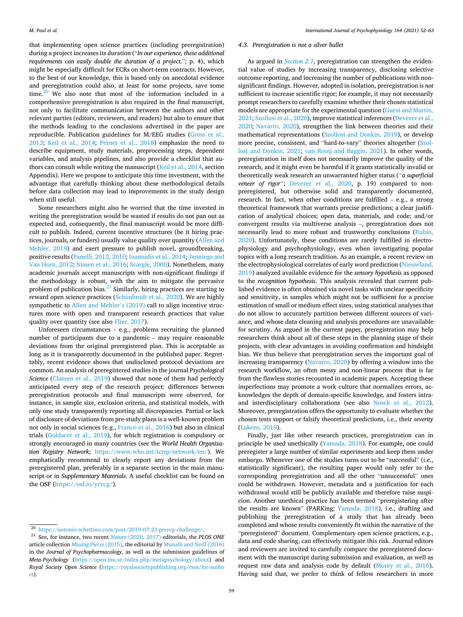that implementing open science practices (including preregistration) during a project increases its duration ("*In our experience, these additional requirements can easily double the duration of a project*."; p. 4), which might be especially difficult for ECRs on short-term contracts. However, to the best of our knowledge, this is based only on anecdotal evidence and preregistration could also, at least for some projects, save some time. $20$  We also note that most of the information included in a comprehensive preregistration is also required in the final manuscript, not only to facilitate communication between the authors and other relevant parties (editors, reviewers, and readers) but also to ensure that the methods leading to the conclusions advertised in the paper are reproducible. Publication guidelines for M/EEG studies ([Gross et al.,](#page-9-0)  [2013;](#page-9-0) [Keil et al., 2014](#page-10-0); [Pernet et al., 2018](#page-10-0)) emphasize the need to describe equipment, study materials, preprocessing steps, dependent variables, and analysis pipelines, and also provide a checklist that authors can consult while writing the manuscript ([Keil et al., 2014,](#page-10-0) section Appendix). Here we propose to anticipate this time investment, with the advantage that carefully thinking about these methodological details before data collection may lead to improvements in the study design when still useful.

Some researchers might also be worried that the time invested in writing the preregistration would be wasted if results do not pan out as expected and, consequently, the final manuscript would be more difficult to publish. Indeed, current incentive structures (be it hiring practices, journals, or funders) usually value quality over quantity [\(Allen and](#page-8-0)  [Mehler, 2019](#page-8-0)) and exert pressure to publish novel, groundbreaking, positive results ([Fanelli, 2012, 2010](#page-9-0); [Ioannidis et al., 2014; Jennings and](#page-9-0)  [Van Horn, 2012;](#page-9-0) [Nissen et al., 2016;](#page-10-0) [Scargle, 2000](#page-11-0)). Nonetheless, many academic journals accept manuscripts with non-significant findings if the methodology is robust, with the aim to mitigate the pervasive problem of publication bias.<sup>21</sup> Similarly, hiring practices are starting to reward open science practices (Schönbrodt et al., 2020). We are highly sympathetic to [Allen and Mehler](#page-8-0)'s (2019) call to align incentive structures more with open and transparent research practices that value quality over quantity (see also [Flier, 2017\)](#page-9-0).

Unforeseen circumstances – e.g., problems recruiting the planned number of participants due to a pandemic – may require reasonable deviations from the original preregistered plan. This is acceptable as long as it is transparently documented in the published paper. Regrettably, recent evidence shows that undisclosed protocol deviations are common. An analysis of preregistered studies in the journal *Psychological Science* ([Claesen et al., 2019\)](#page-8-0) showed that none of them had perfectly anticipated every step of the research project: differences between preregistration protocols and final manuscripts were observed, for instance, in sample size, exclusion criteria, and statistical models, with only one study transparently reporting all discrepancies. Partial or lack of disclosure of deviations from pre-study plans is a well-known problem not only in social sciences (e.g., [Franco et al., 2016](#page-9-0)) but also in clinical trials ([Goldacre et al., 2019](#page-9-0)), for which registration is compulsory or strongly encouraged in many countries (see the *World Health Organization Registry Network*; <https://www.who.int/ictrp/network/en/>). We emphatically recommend to clearly report any deviations from the preregistered plan, preferably in a separate section in the main manuscript or in *Supplementary Materials*. A useful checklist can be found on the OSF ([https://osf.io/yrvcg/\)](https://osf.io/yrvcg/).

#### *4.3. Preregistration is not a silver bullet*

As argued in *[Section 2.1](#page-2-0)*, preregistration can strengthen the evidential value of studies by increasing transparency, disclosing selective outcome reporting, and increasing the number of publications with nonsignificant findings. However, adopted in isolation, preregistration is *not*  sufficient to increase scientific rigor; for example, it may not necessarily prompt researchers to carefully examine whether their chosen statistical models are appropriate for the experimental question [\(Guest and Martin,](#page-9-0)  [2021;](#page-9-0) [Szollosi et al., 2020](#page-11-0)), improve statistical inferences ([Devezer et al.,](#page-9-0)  [2020;](#page-9-0) [Navarro, 2020\)](#page-10-0), strengthen the link between theories and their mathematical representations [\(Szollosi and Donkin, 2019\)](#page-11-0), or develop more precise, consistent, and "hard-to-vary" theories altogether ([Szol](#page-11-0)[losi and Donkin, 2021](#page-11-0); [van Rooij and Baggio, 2021\)](#page-11-0). In other words, preregistration in itself does not necessarily improve the quality of the research, and it might even be harmful if it grants statistically invalid or theoretically weak research an unwarranted higher status (*"a superficial veneer of rigor*"; [Devezer et al., 2020](#page-9-0), p. 19) compared to nonpreregistered, but otherwise solid and transparently documented, research. In fact, when other conditions are fulfilled – e.g., a strong theoretical framework that warrants precise predictions; a clear justification of analytical choices; open data, materials, and code; and/or convergent results via multiverse analysis –, preregistration does not necessarily lead to more robust and trustworthy conclusions [\(Rubin,](#page-11-0)  [2020\)](#page-11-0). Unfortunately, these conditions are rarely fulfilled in electrophysiology and psychophysiology, even when investigating popular topics with a long research tradition. As an example, a recent review on the electrophysiological correlates of early word prediction [\(Nieuwland,](#page-10-0)  [2019\)](#page-10-0) analyzed available evidence for the *sensory hypothesis* as opposed to the *recognition hypothesis*. This analysis revealed that current published evidence is often obtained via novel tasks with unclear specificity and sensitivity, in samples which might not be sufficient for a precise estimation of small or medium effect sizes, using statistical analyses that do not allow to accurately partition between different sources of variance, and whose data cleaning and analysis procedures are unavailable for scrutiny. As argued in the current paper, preregistration may help researchers think about all of these steps in the planning stage of their projects, with clear advantages in avoiding confirmation and hindsight bias. We thus believe that preregistration serves the important goal of increasing transparency ([Navarro, 2020\)](#page-10-0) by offering a window into the research workflow, an often messy and non-linear process that is far from the flawless stories recounted in academic papers. Accepting these imperfections may promote a work culture that normalizes errors, acknowledges the depth of domain-specific knowledge, and fosters intraand interdisciplinary collaborations (see also [Nosek et al., 2012](#page-10-0)). Moreover, preregistration offers the opportunity to evaluate whether the chosen tests support or falsify theoretical predictions, i.e., their *severity*  ([Lakens, 2019](#page-10-0)).

Finally, just like other research practices, preregistration can in principle be used unethically [\(Yamada, 2018](#page-11-0)). For example, one could preregister a large number of similar experiments and keep them under embargo. Whenever one of the studies turns out to be "successful" (i.e., statistically significant), the resulting paper would only refer to the corresponding preregistration and all the other "unsuccessful" ones could be withdrawn. However, metadata and a justification for each withdrawal would still be publicly available and therefore raise suspicion. Another unethical practice has been termed "preregistering after the results are known" (PARKing; [Yamada, 2018\)](#page-11-0), i.e., drafting and publishing the preregistration of a study that has already been completed and whose results conveniently fit within the narrative of the "preregistered" document. Complementary open science practices, e.g., data and code sharing, can effectively mitigate this risk. Journal editors and reviewers are invited to carefully compare the preregistered document with the manuscript during submission and evaluation, as well as request raw data and analysis code by default ([Morey et al., 2016](#page-10-0)). Having said that, we prefer to think of fellow researchers in more

<sup>20</sup> <https://antonio-schettino.com/post/2019-07-23-prereg-challenge/>. 21 See, for instance, two recent*Nature* (2020, 2017) editorials, the *PLOS ONE*  article collection *Missing Pieces* (2015), the editorial by Munafo and Neill (2016) in the *Journal of Psychopharmacology*, as well as the submission guidelines of *Meta-Psychology* [\(https://open.lnu.se/index.php/metapsychology/about\)](https://open.lnu.se/index.php/metapsychology/about) and *Royal Society Open Science* ([https://royalsocietypublishing.org/rsos/for-autho](https://royalsocietypublishing.org/rsos/for-authors)  [rs](https://royalsocietypublishing.org/rsos/for-authors)).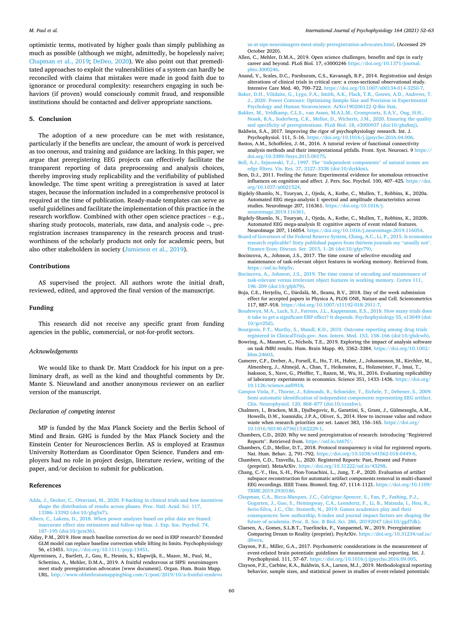<span id="page-8-0"></span>optimistic terms, motivated by higher goals than simply publishing as much as possible (although we might, admittedly, be hopelessly naive; Chapman et al., 2019; [DeDeo, 2020\)](#page-9-0). We also point out that premeditated approaches to exploit the vulnerabilities of a system can hardly be reconciled with claims that mistakes were made in good faith due to ignorance or procedural complexity: researchers engaging in such behaviors (if proven) would consciously commit fraud, and responsible institutions should be contacted and deliver appropriate sanctions.

# **5. Conclusion**

The adoption of a new procedure can be met with resistance, particularly if the benefits are unclear, the amount of work is perceived as too onerous, and training and guidance are lacking. In this paper, we argue that preregistering EEG projects can effectively facilitate the transparent reporting of data preprocessing and analysis choices, thereby improving study replicability and the verifiability of published knowledge. The time spent writing a preregistration is saved at later stages, because the information included in a comprehensive protocol is required at the time of publication. Ready-made templates can serve as useful guidelines and facilitate the implementation of this practice in the research workflow. Combined with other open science practices – e.g., sharing study protocols, materials, raw data, and analysis code –, preregistration increases transparency in the research process and trustworthiness of the scholarly products not only for academic peers, but also other stakeholders in society ([Jamieson et al., 2019](#page-9-0)).

#### **Contributions**

AS supervised the project. All authors wrote the initial draft, reviewed, edited, and approved the final version of the manuscript.

#### **Funding**

This research did not receive any specific grant from funding agencies in the public, commercial, or not-for-profit sectors.

## *Acknowledgements*

We would like to thank Dr. Matt Craddock for his input on a preliminary draft, as well as the kind and thoughtful comments by Dr. Mante S. Nieuwland and another anonymous reviewer on an earlier version of the manuscript.

## *Declaration of competing interest*

MP is funded by the Max Planck Society and the Berlin School of Mind and Brain. GHG is funded by the Max Planck Society and the Einstein Center for Neurosciences Berlin. AS is employed at Erasmus University Rotterdam as Coordinator Open Science. Funders and employers had no role in project design, literature review, writing of the paper, and/or decision to submit for publication.

#### **References**

- [Adda, J., Decker, C., Ottaviani, M., 2020. P-hacking in clinical trials and how incentives](http://refhub.elsevier.com/S0167-8760(21)00074-X/rf0005)  [shape the distribution of results across phases. Proc. Natl. Acad. Sci. 117,](http://refhub.elsevier.com/S0167-8760(21)00074-X/rf0005) 13386–[13392 \(doi:10/ghg5x7\)](http://refhub.elsevier.com/S0167-8760(21)00074-X/rf0005).
- [Albers, C., Lakens, D., 2018. When power analyses based on pilot data are biased:](http://refhub.elsevier.com/S0167-8760(21)00074-X/rf0010) [inaccurate effect size estimators and follow-up bias. J. Exp. Soc. Psychol. 74,](http://refhub.elsevier.com/S0167-8760(21)00074-X/rf0010) 187–[195 \(doi:10/gcsz36\)](http://refhub.elsevier.com/S0167-8760(21)00074-X/rf0010).
- Alday, P.M., 2019. How much baseline correction do we need in ERP research? Extended GLM model can replace baseline correction while lifting its limits. Psychophysiology 56, e13451. <https://doi.org/10.1111/psyp.13451>.
- Algermissen, J., Bartlett, J., Gau, R., Heunis, S., Klapwijk, E., Mazor, M., Paul, M., Schettino, A., Mehler, D.M.A., 2019. A fruitful rendezvous at SIPS: neuroimagers meet study preregistration advocates [www document]. Organ. Hum. Brain Mapp. URL. http://www.ohbmbrainmappingblog.com/1/post/2019/10/a-fruitful-rendevo 'www.ohbmbrainmappingblog.com/1/post/2019/10/a-fruitful-rend

[us-at-sips-neuroimagers-meet-study-preregistration-advocates.html.](http://www.ohbmbrainmappingblog.com/1/post/2019/10/a-fruitful-rendevous-at-sips-neuroimagers-meet-study-preregistration-advocates.html) (Accessed 29 October 2020).

- Allen, C., Mehler, D.M.A., 2019. Open science challenges, benefits and tips in early career and beyond. PLoS Biol. 17, e3000246 [https://doi.org/10.1371/journal.](https://doi.org/10.1371/journal.pbio.3000246)  [pbio.3000246.](https://doi.org/10.1371/journal.pbio.3000246)
- Anand, V., Scales, D.C., Parshuram, C.S., Kavanagh, B.P., 2014. Registration and design alterations of clinical trials in critical care: a cross-sectional observational study. Intensive Care Med. 40, 700–722. <https://doi.org/10.1007/s00134-014-3250-7>.
- [Baker, D.H., Vilidaite, G., Lygo, F.A., Smith, A.K., Flack, T.R., Gouws, A.D., Andrews, T.](http://refhub.elsevier.com/S0167-8760(21)00074-X/rf0035)  [J., 2020. Power Contours: Optimising Sample Size and Precision in Experimental](http://refhub.elsevier.com/S0167-8760(21)00074-X/rf0035)  [Psychology and Human Neuroscience. ArXiv190206122 Q-Bio Stat.](http://refhub.elsevier.com/S0167-8760(21)00074-X/rf0035)
- [Bakker, M., Veldkamp, C.L.S., van Assen, M.A.L.M., Crompvoets, E.A.V., Ong, H.H.,](http://refhub.elsevier.com/S0167-8760(21)00074-X/rf0040) [Nosek, B.A., Soderberg, C.K., Mellor, D., Wicherts, J.M., 2020. Ensuring the quality](http://refhub.elsevier.com/S0167-8760(21)00074-X/rf0040)  [and specificity of preregistrations. PLoS Biol. 18, e3000937 \(doi:10/ghs8mj\)](http://refhub.elsevier.com/S0167-8760(21)00074-X/rf0040). Baldwin, S.A., 2017. Improving the rigor of psychophysiology research. Int. J.
- Psychophysiol. 111, 5–16. [https://doi.org/10.1016/j.ijpsycho.2016.04.006.](https://doi.org/10.1016/j.ijpsycho.2016.04.006)
- Bastos, A.M., Schoffelen, J.-M., 2016. A tutorial review of functional connectivity analysis methods and their interpretational pitfalls. Front. Syst. Neurosci. 9 [https://](https://doi.org/10.3389/fnsys.2015.00175)  [doi.org/10.3389/fnsys.2015.00175](https://doi.org/10.3389/fnsys.2015.00175).
- [Bell, A.J., Sejnowski, T.J., 1997. The](http://refhub.elsevier.com/S0167-8760(21)00074-X/rf0055) "independent components" of natural scenes are [edge filters. Vis. Res. 37, 3327](http://refhub.elsevier.com/S0167-8760(21)00074-X/rf0055)–3338 (doi:10/dcrkkm).
- Bem, D.J., 2011. Feeling the future: Experimental evidence for anomalous retroactive influences on cognition and affect. J. Pers. Soc. Psychol. 100, 407–425. [https://doi.](https://doi.org/10.1037/a0021524)  [org/10.1037/a0021524.](https://doi.org/10.1037/a0021524)
- Bigdely-Shamlo, N., Touryan, J., Ojeda, A., Kothe, C., Mullen, T., Robbins, K., 2020a. Automated EEG mega-analysis I: spectral and amplitude characteristics across studies. NeuroImage 207, 116361. [https://doi.org/10.1016/j.](https://doi.org/10.1016/j.neuroimage.2019.116361) [neuroimage.2019.116361](https://doi.org/10.1016/j.neuroimage.2019.116361).
- Bigdely-Shamlo, N., Touryan, J., Ojeda, A., Kothe, C., Mullen, T., Robbins, K., 2020b. Automated EEG mega-analysis II: cognitive aspects of event related features. NeuroImage 207, 116054. [https://doi.org/10.1016/j.neuroimage.2019.116054.](https://doi.org/10.1016/j.neuroimage.2019.116054)
- [Board of Governors of the Federal Reserve System, Chang, A.C., Li, P., 2015. Is economics](http://refhub.elsevier.com/S0167-8760(21)00074-X/rf0075)  [research replicable? Sixty published papers from thirteen journals say](http://refhub.elsevier.com/S0167-8760(21)00074-X/rf0075) "usually not". [Finance Econ. Discuss. Ser. 2015, 1](http://refhub.elsevier.com/S0167-8760(21)00074-X/rf0075)–26 (doi:10/gfgv79).
- Bocincova, A., Johnson, J.S., 2017. The time course of selective encoding and maintenance of task-relevant object features in working memory. Retrieved from. [https://osf.io/h6p5v.](https://osf.io/h6p5v)
- [Bocincova, A., Johnson, J.S., 2019. The time course of encoding and maintenance of](http://refhub.elsevier.com/S0167-8760(21)00074-X/rf0085)  [task-relevant versus irrelevant object features in working memory. Cortex 111,](http://refhub.elsevier.com/S0167-8760(21)00074-X/rf0085)  196–[209 \(doi:10/gfpb79\)](http://refhub.elsevier.com/S0167-8760(21)00074-X/rf0085).
- Boja, C.E., Herțeliu, C., Dârdală, M., Ileanu, B.V., 2018. Day of the week submission effect for accepted papers in Physica A, PLOS ONE, Nature and Cell. Scientometrics 117, 887–918. [https://doi.org/10.1007/s11192-018-2911-7.](https://doi.org/10.1007/s11192-018-2911-7)
- [Boudewyn, M.A., Luck, S.J., Farrens, J.L., Kappenman, E.S., 2018. How many trials does](http://refhub.elsevier.com/S0167-8760(21)00074-X/rf0095)  [it take to get a significant ERP effect? It depends. Psychophysiology 55, e13049 \(doi:](http://refhub.elsevier.com/S0167-8760(21)00074-X/rf0095)  [10/gcr25d\).](http://refhub.elsevier.com/S0167-8760(21)00074-X/rf0095)
- [Bourgeois, F.T., Murthy, S., Mandl, K.D., 2010. Outcome reporting among drug trials](http://refhub.elsevier.com/S0167-8760(21)00074-X/rf0100)  [registered in ClinicalTrials.gov. Ann. Intern. Med. 153, 158](http://refhub.elsevier.com/S0167-8760(21)00074-X/rf0100)–166 (doi:10/ghdcwb).
- Bowring, A., Maumet, C., Nichols, T.E., 2019. Exploring the impact of analysis software on task fMRI results. Hum. Brain Mapp. 40, 3362–3384. [https://doi.org/10.1002/](https://doi.org/10.1002/hbm.24603) [hbm.24603.](https://doi.org/10.1002/hbm.24603)
- Camerer, C.F., Dreber, A., Forsell, E., Ho, T.-H., Huber, J., Johannesson, M., Kirchler, M., Almenberg, J., Altmejd, A., Chan, T., Heikensten, E., Holzmeister, F., Imai, T., Isaksson, S., Nave, G., Pfeiffer, T., Razen, M., Wu, H., 2016. Evaluating replicability of laboratory experiments in economics. Science 351, 1433–1436. [https://doi.org/](https://doi.org/10.1126/science.aaf0918) [10.1126/science.aaf0918.](https://doi.org/10.1126/science.aaf0918)
- [Campos Viola, F., Thorne, J., Edmonds, B., Schneider, T., Eichele, T., Debener, S., 2009.](http://refhub.elsevier.com/S0167-8760(21)00074-X/rf0115)  [Semi-automatic identification of independent components representing EEG artifact.](http://refhub.elsevier.com/S0167-8760(21)00074-X/rf0115)  [Clin. Neurophysiol. 120, 868](http://refhub.elsevier.com/S0167-8760(21)00074-X/rf0115)–877 (doi:10/czzxhw).
- Chalmers, I., Bracken, M.B., Djulbegovic, B., Garattini, S., Grant, J., Gülmezoglu, A.M., Howells, D.W., Ioannidis, J.P.A., Oliver, S., 2014. How to increase value and reduce waste when research priorities are set. Lancet 383, 156–165. [https://doi.org/](https://doi.org/10.1016/S0140-6736(13)62229-1)  [10.1016/S0140-6736\(13\)62229-1.](https://doi.org/10.1016/S0140-6736(13)62229-1)
- Chambers, C.D., 2020. Why we need preregistration of research: introducing "Registered Reports". Retrieved from.<https://osf.io/nt67f/>.
- Chambers, C.D., Mellor, D.T., 2018. Protocol transparency is vital for registered reports. Nat. Hum. Behav. 2, 791–792. [https://doi.org/10.1038/s41562-018-0449-6.](https://doi.org/10.1038/s41562-018-0449-6)
- Chambers, C.D., Tzavella, L., 2020. Registered Reports: Past, Present and Future (preprint). MetaArXiv.<https://doi.org/10.31222/osf.io/43298>.
- Chang, C.-Y., Hsu, S.-H., Pion-Tonachini, L., Jung, T.-P., 2020. Evaluation of artifact subspace reconstruction for automatic artifact components removal in multi-channel EEG recordings. IEEE Trans. Biomed. Eng. 67, 1114–1121. [https://doi.org/10.1109/](https://doi.org/10.1109/TBME.2019.2930186)  [TBME.2019.2930186.](https://doi.org/10.1109/TBME.2019.2930186)
- [Chapman, C.A., Bicca-Marques, J.C., Calvignac-Spencer, S., Fan, P., Fashing, P.J.,](http://refhub.elsevier.com/S0167-8760(21)00074-X/rf0145)  [Gogarten, J., Guo, S., Hemingway, C.A., Leendertz, F., Li, B., Matsuda, I., Hou, R.,](http://refhub.elsevier.com/S0167-8760(21)00074-X/rf0145)  [Serio-Silva, J.C., Chr. Stenseth, N., 2019. Games academics play and their](http://refhub.elsevier.com/S0167-8760(21)00074-X/rf0145)  consequences: how authorship, *h*[-index and journal impact factors are shaping the](http://refhub.elsevier.com/S0167-8760(21)00074-X/rf0145)  [future of academia. Proc. R. Soc. B Biol. Sci. 286, 20192047 \(doi:10/ggd7dk\).](http://refhub.elsevier.com/S0167-8760(21)00074-X/rf0145)
- Claesen, A., Gomes, S.L.B.T., Tuerlinckx, F., Vanpaemel, W., 2019. Preregistration: Comparing Dream to Reality (preprint). PsyArXiv. [https://doi.org/10.31234/osf.io/](https://doi.org/10.31234/osf.io/d8wex)  [d8wex](https://doi.org/10.31234/osf.io/d8wex).
- Clayson, P.E., Miller, G.A., 2017. Psychometric considerations in the measurement of event-related brain potentials: guidelines for measurement and reporting. Int. J. Psychophysiol. 111, 57-67. https://doi.org/10.1016/j.ijpsycho.2016.09.
- Clayson, P.E., Carbine, K.A., Baldwin, S.A., Larson, M.J., 2019. Methodological reporting behavior, sample sizes, and statistical power in studies of event-related potentials: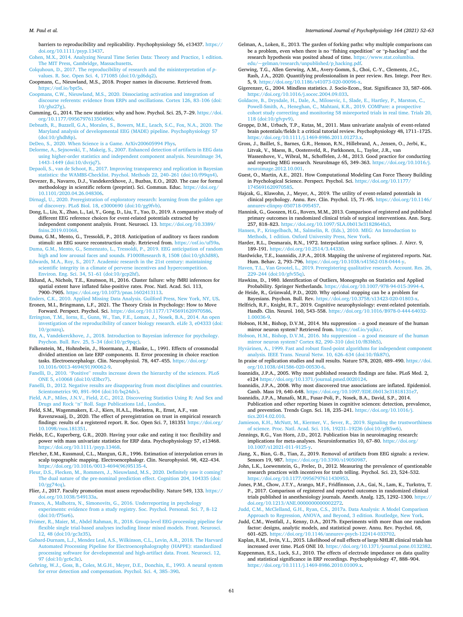<span id="page-9-0"></span>barriers to reproducibility and replicability. Psychophysiology 56, e13437. [https://](https://doi.org/10.1111/psyp.13437)  [doi.org/10.1111/psyp.13437.](https://doi.org/10.1111/psyp.13437)

[Cohen, M.X., 2014. Analyzing Neural Time Series Data: Theory and Practice, 1 edition.](http://refhub.elsevier.com/S0167-8760(21)00074-X/rf0165)  [The MIT Press, Cambridge, Massachusetts.](http://refhub.elsevier.com/S0167-8760(21)00074-X/rf0165)

[Colquhoun, D., 2017. The reproducibility of research and the misinterpretation of](http://refhub.elsevier.com/S0167-8760(21)00074-X/rf0170) *p*[values. R. Soc. Open Sci. 4, 171085 \(doi:10/gd6dq2\)](http://refhub.elsevier.com/S0167-8760(21)00074-X/rf0170).

Coopmans, C., Nieuwland, M.S., 2018. Proper names in discourse. Retrieved from. [https://osf.io/bpt5s.](https://osf.io/bpt5s)

- [Coopmans, C.W., Nieuwland, M.S., 2020. Dissociating activation and integration of](http://refhub.elsevier.com/S0167-8760(21)00074-X/rf0180) [discourse referents: evidence from ERPs and oscillations. Cortex 126, 83](http://refhub.elsevier.com/S0167-8760(21)00074-X/rf0180)–106 (doi: [10/ghz27g\).](http://refhub.elsevier.com/S0167-8760(21)00074-X/rf0180)
- Cumming, G., 2014. The new statistics: why and how. Psychol. Sci. 25, 7–29. [https://doi.](https://doi.org/10.1177/0956797613504966)  [org/10.1177/0956797613504966.](https://doi.org/10.1177/0956797613504966)
- [Debnath, R., Buzzell, G.A., Morales, S., Bowers, M.E., Leach, S.C., Fox, N.A., 2020. The](http://refhub.elsevier.com/S0167-8760(21)00074-X/rf0190) [Maryland analysis of developmental EEG \(MADE\) pipeline. Psychophysiology 57](http://refhub.elsevier.com/S0167-8760(21)00074-X/rf0190)  [\(doi:10/ghdh8p\).](http://refhub.elsevier.com/S0167-8760(21)00074-X/rf0190)
- [DeDeo, S., 2020. When Science is a Game. ArXiv200605994 Phys.](http://refhub.elsevier.com/S0167-8760(21)00074-X/rf0195)
- [Delorme, A., Sejnowski, T., Makeig, S., 2007. Enhanced detection of artifacts in EEG data](http://refhub.elsevier.com/S0167-8760(21)00074-X/rf0200)  [using higher-order statistics and independent component analysis. NeuroImage 34,](http://refhub.elsevier.com/S0167-8760(21)00074-X/rf0200)  1443–[1449 \(doi:10/dvrjq7\).](http://refhub.elsevier.com/S0167-8760(21)00074-X/rf0200)
- [Depaoli, S., van de Schoot, R., 2017. Improving transparency and replication in Bayesian](http://refhub.elsevier.com/S0167-8760(21)00074-X/rf0205)  [statistics: the WAMBS-Checklist. Psychol. Methods 22, 240](http://refhub.elsevier.com/S0167-8760(21)00074-X/rf0205)–261 (doi:10/f99qn4).
- Devezer, B., Navarro, D.J., Vandekerckhove, J., Buzbas, E.O., 2020. The case for formal methodology in scientific reform (preprint). Sci. Commun. Educ. [https://doi.org/](https://doi.org/10.1101/2020.04.26.048306) [10.1101/2020.04.26.048306.](https://doi.org/10.1101/2020.04.26.048306)
- [Dirnagl, U., 2020. Preregistration of exploratory research: learning from the golden age](http://refhub.elsevier.com/S0167-8760(21)00074-X/rf0215)  [of discovery. PLoS Biol. 18, e3000690 \(doi:10/gg9fvb\).](http://refhub.elsevier.com/S0167-8760(21)00074-X/rf0215)
- Dong, L., Liu, X., Zhao, L., Lai, Y., Gong, D., Liu, T., Yao, D., 2019. A comparative study of different EEG reference choices for event-related potentials extracted by independent component analysis. Front. Neurosci. 13. [https://doi.org/10.3389/](https://doi.org/10.3389/fnins.2019.01068) [fnins.2019.01068](https://doi.org/10.3389/fnins.2019.01068).
- Duma, G.M., Mento, G., Tressoldi, P., 2018. Anticipation of auditory vs faces random stimuli: an EEG source reconstruction study. Retrieved from. [https://osf.io/uf59a.](https://osf.io/uf59a)
- [Duma, G.M., Mento, G., Semenzato, L., Tressoldi, P., 2019. EEG anticipation of random](http://refhub.elsevier.com/S0167-8760(21)00074-X/rf0235)  [high and low arousal faces and sounds. F1000Research 8, 1508 \(doi:10/gh3d88\)](http://refhub.elsevier.com/S0167-8760(21)00074-X/rf0235).
- [Edwards, M.A., Roy, S., 2017. Academic research in the 21st century: maintaining](http://refhub.elsevier.com/S0167-8760(21)00074-X/rf0240)  [scientific integrity in a climate of perverse incentives and hypercompetition.](http://refhub.elsevier.com/S0167-8760(21)00074-X/rf0240)  [Environ. Eng. Sci. 34, 51](http://refhub.elsevier.com/S0167-8760(21)00074-X/rf0240)–61 (doi:10/gcp2hf).
- Eklund, A., Nichols, T.E., Knutsson, H., 2016. Cluster failure: why fMRI inferences for spatial extent have inflated false-positive rates. Proc. Natl. Acad. Sci. 113, 7900–7905. [https://doi.org/10.1073/pnas.1602413113.](https://doi.org/10.1073/pnas.1602413113)
- [Enders, C.K., 2010. Applied Missing Data Analysis. Guilford Press, New York, NY, US](http://refhub.elsevier.com/S0167-8760(21)00074-X/rf0250). Eronen, M.I., Bringmann, L.F., 2021. The Theory Crisis in Psychology: How to Move
- Forward. Perspect. Psychol. Sci. [https://doi.org/10.1177/1745691620970586.](https://doi.org/10.1177/1745691620970586) [Errington, T.M., Iorns, E., Gunn, W., Tan, F.E., Lomax, J., Nosek, B.A., 2014. An open](http://refhub.elsevier.com/S0167-8760(21)00074-X/rf0260) [investigation of the reproducibility of cancer biology research. eLife 3, e04333 \(doi:](http://refhub.elsevier.com/S0167-8760(21)00074-X/rf0260)  [10/gcnzrq\)](http://refhub.elsevier.com/S0167-8760(21)00074-X/rf0260).
- [Etz, A., Vandekerckhove, J., 2018. Introduction to Bayesian inference for psychology.](http://refhub.elsevier.com/S0167-8760(21)00074-X/rf0265) [Psychon. Bull. Rev. 25, 5](http://refhub.elsevier.com/S0167-8760(21)00074-X/rf0265)–34 (doi:10/gc9pqc).
- Falkenstein, M., Hohnsbein, J., Hoormann, J., Blanke, L., 1991. Effects of crossmodal divided attention on late ERP components. II. Error processing in choice reaction tasks. Electroencephalogr. Clin. Neurophysiol. 78, 447–455. [https://doi.org/](https://doi.org/10.1016/0013-4694(91)90062-9)  [10.1016/0013-4694\(91\)90062-9](https://doi.org/10.1016/0013-4694(91)90062-9).
- Fanelli, D., 2010. "Positive" [results increase down the hierarchy of the sciences. PLoS](http://refhub.elsevier.com/S0167-8760(21)00074-X/rf0275) [ONE 5, e10068 \(doi:10/d3bcr7\)](http://refhub.elsevier.com/S0167-8760(21)00074-X/rf0275).
- [Fanelli, D., 2012. Negative results are disappearing from most disciplines and countries.](http://refhub.elsevier.com/S0167-8760(21)00074-X/rf0280)  [Scientometrics 90, 891](http://refhub.elsevier.com/S0167-8760(21)00074-X/rf0280)–904 (doi:10/bq24dv).
- [Field, A.P., Miles, J.N.V., Field, Z.C., 2012. Discovering Statistics Using R: And Sex and](http://refhub.elsevier.com/S0167-8760(21)00074-X/rf0285)  Drugs and Rock "n" [Roll. Sage Publications Ltd., London](http://refhub.elsevier.com/S0167-8760(21)00074-X/rf0285).
- Field, S.M., Wagenmakers, E.-J., Kiers, H.A.L., Hoekstra, R., Ernst, A.F., van Ravenzwaaij, D., 2020. The effect of preregistration on trust in empirical research findings: results of a registered report. R. Soc. Open Sci. 7, 181351 [https://doi.org/](https://doi.org/10.1098/rsos.181351)  [10.1098/rsos.181351](https://doi.org/10.1098/rsos.181351).
- Fields, E.C., Kuperberg, G.R., 2020. Having your cake and eating it too: flexibility and power with mass univariate statistics for ERP data. Psychophysiology 57, e13468. <https://doi.org/10.1111/psyp.13468>.
- Fletcher, E.M., Kussmaul, C.L., Mangun, G.R., 1996. Estimation of interpolation errors in scalp topographic mapping. Electroencephalogr. Clin. Neurophysiol. 98, 422–434. [https://doi.org/10.1016/0013-4694\(96\)95135-4.](https://doi.org/10.1016/0013-4694(96)95135-4)
- [Fleur, D.S., Flecken, M., Rommers, J., Nieuwland, M.S., 2020. Definitely saw it coming?](http://refhub.elsevier.com/S0167-8760(21)00074-X/rf0305)  [The dual nature of the pre-nominal prediction effect. Cognition 204, 104335 \(doi:](http://refhub.elsevier.com/S0167-8760(21)00074-X/rf0305) [10/gg74cq\).](http://refhub.elsevier.com/S0167-8760(21)00074-X/rf0305)
- Flier, J., 2017. Faculty promotion must assess reproducibility. Nature 549, 133. [https://](https://doi.org/10.1038/549133a)  [doi.org/10.1038/549133a.](https://doi.org/10.1038/549133a)
- [Franco, A., Malhotra, N., Simonovits, G., 2016. Underreporting in psychology](http://refhub.elsevier.com/S0167-8760(21)00074-X/rf0315) [experiments: evidence from a study registry. Soc. Psychol. Personal. Sci. 7, 8](http://refhub.elsevier.com/S0167-8760(21)00074-X/rf0315)–12 [\(doi:10/f75sr6\)](http://refhub.elsevier.com/S0167-8760(21)00074-X/rf0315).
- Frömer, R., Maier, M., Abdel Rahman, R., 2018. Group-level EEG-processing pipeline for [flexible single trial-based analyses including linear mixed models. Front. Neurosci.](http://refhub.elsevier.com/S0167-8760(21)00074-X/rf0320)  [12, 48 \(doi:10/gc3z35\).](http://refhub.elsevier.com/S0167-8760(21)00074-X/rf0320)
- [Gabard-Durnam, L.J., Mendez Leal, A.S., Wilkinson, C.L., Levin, A.R., 2018. The Harvard](http://refhub.elsevier.com/S0167-8760(21)00074-X/rf0325)  [Automated Processing Pipeline for Electroencephalography \(HAPPE\): standardized](http://refhub.elsevier.com/S0167-8760(21)00074-X/rf0325) [processing software for developmental and high-artifact data. Front. Neurosci. 12,](http://refhub.elsevier.com/S0167-8760(21)00074-X/rf0325)  [97 \(doi:10/gc6c3z\)](http://refhub.elsevier.com/S0167-8760(21)00074-X/rf0325).
- [Gehring, W.J., Goss, B., Coles, M.G.H., Meyer, D.E., Donchin, E., 1993. A neural system](http://refhub.elsevier.com/S0167-8760(21)00074-X/rf0330)  [for error detection and compensation. Psychol. Sci. 4, 385](http://refhub.elsevier.com/S0167-8760(21)00074-X/rf0330)–390.
- Gelman, A., Loken, E., 2013. The garden of forking paths: why multiple comparisons can be a problem, even when there is no "fishing expedition" or "p-hacking" and the research hypothesis was posited ahead of time. [https://www.stat.columbia.](https://www.stat.columbia.edu/~gelman/research/unpublished/p_hacking.pdf)  [edu/~gelman/research/unpublished/p\\_hacking.pdf.](https://www.stat.columbia.edu/~gelman/research/unpublished/p_hacking.pdf)
- Gerwing, T.G., Allen Gerwing, A.M., Avery-Gomm, S., Choi, C.-Y., Clements, J.C., Rash, J.A., 2020. Quantifying professionalism in peer review. Res. Integr. Peer Rev. 5, 9. [https://doi.org/10.1186/s41073-020-00096-x.](https://doi.org/10.1186/s41073-020-00096-x)

Gigerenzer, G., 2004. Mindless statistics. J. Socio-Econ., Stat. Significance 33, 587–606. [https://doi.org/10.1016/j.socec.2004.09.033.](https://doi.org/10.1016/j.socec.2004.09.033)

- [Goldacre, B., Drysdale, H., Dale, A., Milosevic, I., Slade, E., Hartley, P., Marston, C.,](http://refhub.elsevier.com/S0167-8760(21)00074-X/rf0350)  [Powell-Smith, A., Heneghan, C., Mahtani, K.R., 2019. COMPare: a prospective](http://refhub.elsevier.com/S0167-8760(21)00074-X/rf0350)  [cohort study correcting and monitoring 58 misreported trials in real time. Trials 20,](http://refhub.elsevier.com/S0167-8760(21)00074-X/rf0350)  [118 \(doi:10/gfvpv9\).](http://refhub.elsevier.com/S0167-8760(21)00074-X/rf0350)
- Groppe, D.M., Urbach, T.P., Kutas, M., 2011. Mass univariate analysis of event-related brain potentials/fields I: a critical tutorial review. Psychophysiology 48, 1711–1725. /doi.org/10.1111/j.1469-8986.2011.01273.x.
- Gross, J., Baillet, S., Barnes, G.R., Henson, R.N., Hillebrand, A., Jensen, O., Jerbi, K., Litvak, V., Maess, B., Oostenveld, R., Parkkonen, L., Taylor, J.R., van Wassenhove, V., Wibral, M., Schoffelen, J.-M., 2013. Good practice for conducting and reporting MEG research. NeuroImage 65, 349–363. [https://doi.org/10.1016/j.](https://doi.org/10.1016/j.neuroimage.2012.10.001)  [neuroimage.2012.10.001.](https://doi.org/10.1016/j.neuroimage.2012.10.001)
- Guest, O., Martin, A.E., 2021. How Computational Modeling Can Force Theory Building in Psychological Science. Perspect. Psychol. Sci. [https://doi.org/10.1177/](https://doi.org/10.1177/1745691620970585)  [1745691620970585.](https://doi.org/10.1177/1745691620970585)
- Hajcak, G., Klawohn, J., Meyer, A., 2019. The utility of event-related potentials in clinical psychology. Annu. Rev. Clin. Psychol. 15, 71–95. [https://doi.org/10.1146/](https://doi.org/10.1146/annurev-clinpsy-050718-095457) linpsy-050718-095457.
- Hannink, G., Gooszen, H.G., Rovers, M.M., 2013. Comparison of registered and published primary outcomes in randomized clinical trials of surgical interventions. Ann. Surg. 257, 818–823. [https://doi.org/10.1097/SLA.0b013e3182864fa3.](https://doi.org/10.1097/SLA.0b013e3182864fa3)

[Hansen, P., Kringelbach, M., Salmelin, R. \(Eds.\), 2010. MEG: An Introduction to](http://refhub.elsevier.com/S0167-8760(21)00074-X/rf0380)  [Methods, 1 edition. Oxford University Press, New York](http://refhub.elsevier.com/S0167-8760(21)00074-X/rf0380).

- Harder, R.L., Desmarais, R.N., 1972. Interpolation using surface splines. J. Aircr. 9, 189–191. <https://doi.org/10.2514/3.44330>.
- Hardwicke, T.E., Ioannidis, J.P.A., 2018. Mapping the universe of registered reports. Nat. Hum. Behav. 2, 793–796. <https://doi.org/10.1038/s41562-018-0444-y>.
- [Haven, T.L., Van Grootel, L., 2019. Preregistering qualitative research. Account. Res. 26,](http://refhub.elsevier.com/S0167-8760(21)00074-X/rf0395)  229–[244 \(doi:10/gfv55q\).](http://refhub.elsevier.com/S0167-8760(21)00074-X/rf0395)
- Hawkins, D., 1980. Identification of Outliers, Monographs on Statistics and Applied Probability. Springer Netherlands. https://doi.org/10.1007/978-94-015de Heide, R., Grünwald, P.D., 2020. Why optional stopping can be a problem for
- Bayesians. Psychon. Bull. Rev. <https://doi.org/10.3758/s13423-020-01803-x>. Helfrich, R.F., Knight, R.T., 2019. Cognitive neurophysiology: event-related potentials.
- Handb. Clin. Neurol. 160, 543–558. [https://doi.org/10.1016/B978-0-444-64032-](https://doi.org/10.1016/B978-0-444-64032-1.00036-9)  [1.00036-9.](https://doi.org/10.1016/B978-0-444-64032-1.00036-9)
- Hobson, H.M., Bishop, D.V.M., 2014. Mu suppression a good measure of the human mirror neuron system? Retrieved from. [https://osf.io/yajkz/.](https://osf.io/yajkz/)
- [Hobson, H.M., Bishop, D.V.M., 2016. Mu suppression](http://refhub.elsevier.com/S0167-8760(21)00074-X/rf0420)  a good measure of the human [mirror neuron system? Cortex 82, 290](http://refhub.elsevier.com/S0167-8760(21)00074-X/rf0420)–310 (doi:10/f83bh5).
- Hyvärinen, A., 1999. Fast and robust fixed-point algorithms for independent component [analysis. IEEE Trans. Neural Netw. 10, 626](http://refhub.elsevier.com/S0167-8760(21)00074-X/rf0425)–634 (doi:10/ftk87t).
- In praise of replication studies and null results. Nature 578, 2020, 489–490. [https://doi.](https://doi.org/10.1038/d41586-020-00530-6)  [org/10.1038/d41586-020-00530-6](https://doi.org/10.1038/d41586-020-00530-6).
- Ioannidis, J.P.A., 2005. Why most published research findings are false. PLoS Med. 2, e124 [https://doi.org/10.1371/journal.pmed.0020124.](https://doi.org/10.1371/journal.pmed.0020124)
- Ioannidis, J.P.A., 2008. Why most discovered true associations are inflated. Epidemiol. Camb. Mass 19, 640–648.<https://doi.org/10.1097/EDE.0b013e31818131e7>.
- Ioannidis, J.P.A., Munafò, M.R., Fusar-Poli, P., Nosek, B.A., David, S.P., 2014. Publication and other reporting biases in cognitive sciences: detection, prevalence, and prevention. Trends Cogn. Sci. 18, 235-241. https://doi.org/10.1016/ [tics.2014.02.010.](https://doi.org/10.1016/j.tics.2014.02.010)
- [Jamieson, K.H., McNutt, M., Kiermer, V., Sever, R., 2019. Signaling the trustworthiness](http://refhub.elsevier.com/S0167-8760(21)00074-X/rf0450)  [of science. Proc. Natl. Acad. Sci. 116, 19231](http://refhub.elsevier.com/S0167-8760(21)00074-X/rf0450)–19236 (doi:10/gf85w6).
- Jennings, R.G., Van Horn, J.D., 2012. Publication bias in neuroimaging research: implications for meta-analyses. Neuroinformatics 10, 67–80. [https://doi.org/](https://doi.org/10.1007/s12021-011-9125-y) [10.1007/s12021-011-9125-y](https://doi.org/10.1007/s12021-011-9125-y).
- Jiang, X., Bian, G.-B., Tian, Z., 2019. Removal of artifacts from EEG signals: a review. Sensors 19, 987. [https://doi.org/10.3390/s19050987.](https://doi.org/10.3390/s19050987)
- John, L.K., Loewenstein, G., Prelec, D., 2012. Measuring the prevalence of questionable research practices with incentives for truth telling. Psychol. Sci. 23, 524–532. [https://doi.org/10.1177/0956797611430953.](https://doi.org/10.1177/0956797611430953)
- Jones, P.M., Chow, J.T.Y., Arango, M.F., Fridfinnson, J.A., Gai, N., Lam, K., Turkstra, T. P., 2017. Comparison of registered and reported outcomes in randomized clinical trials published in anesthesiology journals. Anesth. Analg. 125, 1292–1300. [https://](https://doi.org/10.1213/ANE.0000000000002272)  [doi.org/10.1213/ANE.0000000000002272](https://doi.org/10.1213/ANE.0000000000002272).
- [Judd, C.M., McClelland, G.H., Ryan, C.S., 2017a. Data Analysis: A Model Comparison](http://refhub.elsevier.com/S0167-8760(21)00074-X/rf0475)  [Approach to Regression, ANOVA, and Beyond, 3 edition. Routledge, New York.](http://refhub.elsevier.com/S0167-8760(21)00074-X/rf0475)
- Judd, C.M., Westfall, J., Kenny, D.A., 2017b. Experiments with more than one random factor: designs, analytic models, and statistical power. Annu. Rev. Psychol. 68, 601–625. <https://doi.org/10.1146/annurev-psych-122414-033702>.
- Kaplan, R.M., Irvin, V.L., 2015. Likelihood of null effects of large NHLBI clinical trials has increased over time. PLoS ONE 10. [https://doi.org/10.1371/journal.pone.0132382.](https://doi.org/10.1371/journal.pone.0132382)
- Kappenman, E.S., Luck, S.J., 2010. The effects of electrode impedance on data quality and statistical significance in ERP recordings. Psychophysiology 47, 888–904. [https://doi.org/10.1111/j.1469-8986.2010.01009.x.](https://doi.org/10.1111/j.1469-8986.2010.01009.x)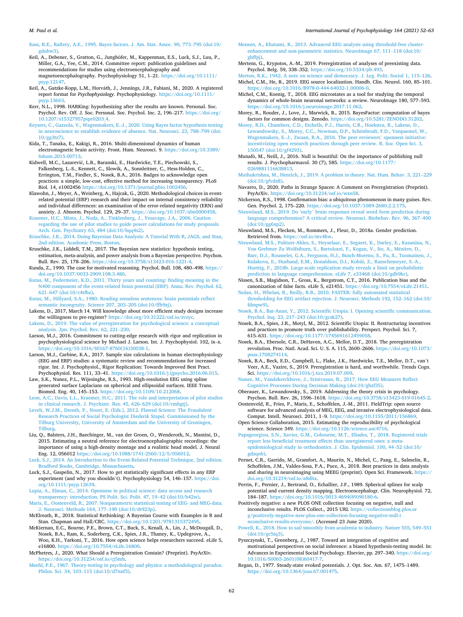<span id="page-10-0"></span>[Kass, R.E., Raftery, A.E., 1995. Bayes factors. J. Am. Stat. Assoc. 90, 773](http://refhub.elsevier.com/S0167-8760(21)00074-X/rf0495)–795 (doi:10/ [gdnbw3\).](http://refhub.elsevier.com/S0167-8760(21)00074-X/rf0495)

- Keil, A., Debener, S., Gratton, G., Junghöfer, M., Kappenman, E.S., Luck, S.J., Luu, P., Miller, G.A., Yee, C.M., 2014. Committee report: publication guidelines and recommendations for studies using electroencephalography and magnetoencephalography. Psychophysiology 51, 1–21. [https://doi.org/10.1111/](https://doi.org/10.1111/psyp.12147) [psyp.12147](https://doi.org/10.1111/psyp.12147).
- Keil, A., Gatzke-Kopp, L.M., Horváth, J., Jennings, J.R., Fabiani, M., 2020. A registered report format for *Psychophysiology*. Psychophysiology. [https://doi.org/10.1111/](https://doi.org/10.1111/psyp.13663) [psyp.13663](https://doi.org/10.1111/psyp.13663).
- Kerr, N.L., 1998. HARKing: hypothesizing after the results are known. Personal. Soc. Psychol. Rev. Off. J. Soc. Personal. Soc. Psychol. Inc. 2, 196–217. [https://doi.org/](https://doi.org/10.1207/s15327957pspr0203_4) [10.1207/s15327957pspr0203\\_4.](https://doi.org/10.1207/s15327957pspr0203_4)
- [Keysers, C., Gazzola, V., Wagenmakers, E.-J., 2020. Using Bayes factor hypothesis testing](http://refhub.elsevier.com/S0167-8760(21)00074-X/rf0515)  [in neuroscience to establish evidence of absence. Nat. Neurosci. 23, 788](http://refhub.elsevier.com/S0167-8760(21)00074-X/rf0515)–799 (doi: [10/gg3tz7\)](http://refhub.elsevier.com/S0167-8760(21)00074-X/rf0515).
- Kida, T., Tanaka, E., Kakigi, R., 2016. Multi-dimensional dynamics of human electromagnetic brain activity. Front. Hum. Neurosci. 9. [https://doi.org/10.3389/](https://doi.org/10.3389/fnhum.2015.00713)  [fnhum.2015.00713.](https://doi.org/10.3389/fnhum.2015.00713)
- Kidwell, M.C., Lazarević, L.B., Baranski, E., Hardwicke, T.E., Piechowski, S., Falkenberg, L.-S., Kennett, C., Slowik, A., Sonnleitner, C., Hess-Holden, C., Errington, T.M., Fiedler, S., Nosek, B.A., 2016. Badges to acknowledge open practices: a simple, low-cost, effective method for increasing transparency. PLoS Biol. 14, e1002456 <https://doi.org/10.1371/journal.pbio.1002456>.
- Klawohn, J., Meyer, A., Weinberg, A., Hajcak, G., 2020. Methodological choices in eventrelated potential (ERP) research and their impact on internal consistency reliability and individual differences: an examination of the error-related negativity (ERN) and anxiety. J. Abnorm. Psychol. 129, 29–37. [https://doi.org/10.1037/abn0000458.](https://doi.org/10.1037/abn0000458)
- [Kraemer, H.C., Mintz, J., Noda, A., Tinklenberg, J., Yesavage, J.A., 2006. Caution](http://refhub.elsevier.com/S0167-8760(21)00074-X/rf0535) [regarding the use of pilot studies to guide power calculations for study proposals.](http://refhub.elsevier.com/S0167-8760(21)00074-X/rf0535)  [Arch. Gen. Psychiatry 63, 484 \(doi:10/bqq4s2\).](http://refhub.elsevier.com/S0167-8760(21)00074-X/rf0535)
- [Kruschke, J.K., 2014. Doing Bayesian Data Analysis: A Tutorial With R, JAGS, and Stan,](http://refhub.elsevier.com/S0167-8760(21)00074-X/rf0540)  [2nd edition. Academic Press, Boston](http://refhub.elsevier.com/S0167-8760(21)00074-X/rf0540).
- Kruschke, J.K., Liddell, T.M., 2017. The Bayesian new statistics: hypothesis testing, estimation, meta-analysis, and power analysis from a Bayesian perspective. Psychon. Bull. Rev. 25, 178–206. <https://doi.org/10.3758/s13423-016-1221-4>.
- Kunda, Z., 1990. The case for motivated reasoning. Psychol. Bull. 108, 480–498. [https://](https://doi.org/10.1037/0033-2909.108.3.480)  [doi.org/10.1037/0033-2909.108.3.480](https://doi.org/10.1037/0033-2909.108.3.480).
- [Kutas, M., Federmeier, K.D., 2011. Thirty years and counting: finding meaning in the](http://refhub.elsevier.com/S0167-8760(21)00074-X/rf0555) [N400 component of the event-related brain potential \(ERP\). Annu. Rev. Psychol. 62,](http://refhub.elsevier.com/S0167-8760(21)00074-X/rf0555)  621–[647 \(doi:10/c4tfhz\).](http://refhub.elsevier.com/S0167-8760(21)00074-X/rf0555)
- [Kutas, M., Hillyard, S.A., 1980. Reading senseless sentences: brain potentials reflect](http://refhub.elsevier.com/S0167-8760(21)00074-X/rf0560)  [semantic incongruity. Science 207, 203](http://refhub.elsevier.com/S0167-8760(21)00074-X/rf0560)–205 (doi:10/ffh9zj).
- Lakens, D., 2017, March 14. Will knowledge about more efficient study designs increase the willingness to pre-register? [https://doi.org/10.31222/osf.io/svzyc.](https://doi.org/10.31222/osf.io/svzyc)
- [Lakens, D., 2019. The value of preregistration for psychological science: a conceptual](http://refhub.elsevier.com/S0167-8760(21)00074-X/rf0570)  [analysis. Jpn. Psychol. Rev. 62, 221](http://refhub.elsevier.com/S0167-8760(21)00074-X/rf0570)–230.
- Larson, M.J., 2016. Commitment to cutting-edge research with rigor and replication in psychophysiological science by Michael J. Larson. Int. J. Psychophysiol. 102, ix–x. [https://doi.org/10.1016/S0167-8760\(16\)30038-1.](https://doi.org/10.1016/S0167-8760(16)30038-1)
- Larson, M.J., Carbine, K.A., 2017. Sample size calculations in human electrophysiology (EEG and ERP) studies: a systematic review and recommendations for increased rigor. Int. J. Psychophysiol., Rigor Replication: Towards Improved Best Pract. Psychophysiol. Res. 111, 33–41. [https://doi.org/10.1016/j.ijpsycho.2016.06.015.](https://doi.org/10.1016/j.ijpsycho.2016.06.015)
- Law, S.K., Nunez, P.L., Wijesinghe, R.S., 1993. High-resolution EEG using spline generated surface Laplacians on spherical and ellipsoidal surfaces. IEEE Trans.
- Biomed. Eng. 40, 145–153. <https://doi.org/10.1109/10.212068>. [Leon, A.C., Davis, L.L., Kraemer, H.C., 2011. The role and interpretation of pilot studies](http://refhub.elsevier.com/S0167-8760(21)00074-X/rf0590)  [in clinical research. J. Psychiatr. Res. 45, 626](http://refhub.elsevier.com/S0167-8760(21)00074-X/rf0590)–629 (doi:10/cmhgtj).
- [Levelt, W.J.M., Drenth, P., Noort, E. \(Eds.\), 2012. Flawed Science: The Fraudulent](http://refhub.elsevier.com/S0167-8760(21)00074-X/rf0595)  [Research Practices of Social Psychologist Diederik Stapel. Commissioned by the](http://refhub.elsevier.com/S0167-8760(21)00074-X/rf0595)  [Tilburg University, University of Amsterdam and the University of Groningen,](http://refhub.elsevier.com/S0167-8760(21)00074-X/rf0595)  [Tilburg](http://refhub.elsevier.com/S0167-8760(21)00074-X/rf0595).
- Liu, Q., Balsters, J.H., Baechinger, M., van der Groen, O., Wenderoth, N., Mantini, D., 2015. Estimating a neutral reference for electroencephalographic recordings: the importance of using a high-density montage and a realistic head model. J. Neural Eng. 12, 056012 <https://doi.org/10.1088/1741-2560/12/5/056012>.
- [Luck, S.J., 2014. An Introduction to the Event-Related Potential Technique, 2nd edition.](http://refhub.elsevier.com/S0167-8760(21)00074-X/rf0605)  [Bradford Books, Cambridge, Massachusetts.](http://refhub.elsevier.com/S0167-8760(21)00074-X/rf0605)
- Luck, S.J., Gaspelin, N., 2017. How to get statistically significant effects in any ERP experiment (and why you shouldn't). Psychophysiology 54, 146–157. [https://doi.](https://doi.org/10.1111/psyp.12639) [org/10.1111/psyp.12639](https://doi.org/10.1111/psyp.12639).
- [Lupia, A., Elman, C., 2014. Openness in political science: data access and research](http://refhub.elsevier.com/S0167-8760(21)00074-X/rf0615) [transparency: introduction. PS Polit. Sci. Polit. 47, 19](http://refhub.elsevier.com/S0167-8760(21)00074-X/rf0615)–42 (doi:10/b42w).
- [Maris, E., Oostenveld, R., 2007. Nonparametric statistical testing of EEG- and MEG-data.](http://refhub.elsevier.com/S0167-8760(21)00074-X/rf0620)  [J. Neurosci. Methods 164, 177](http://refhub.elsevier.com/S0167-8760(21)00074-X/rf0620)–190 (doi:10/dt923p).
- McElreath, R., 2018. Statistical Rethinking: A Bayesian Course with Examples in R and Stan. Chapman and Hall/CRC. https://doi.org/10.1201/978131537249.
- McKiernan, E.C., Bourne, P.E., Brown, C.T., Buck, S., Kenall, A., Lin, J., McDougall, D., Nosek, B.A., Ram, K., Soderberg, C.K., Spies, J.R., Thaney, K., Updegrove, A., Woo, K.H., Yarkoni, T., 2016. How open science helps researchers succeed. eLife 5, e16800. [https://doi.org/10.7554/eLife.16800.](https://doi.org/10.7554/eLife.16800)
- McPhetres, J., 2020. What Should a Preregistration Contain? (Preprint). PsyArXiv. [https://doi.org/10.31234/osf.io/cj5mh.](https://doi.org/10.31234/osf.io/cj5mh)
- [Meehl, P.E., 1967. Theory-testing in psychology and physics: a methodological paradox.](http://refhub.elsevier.com/S0167-8760(21)00074-X/rf0640)  Philos. Sci. 34, 103–[115 \(doi:10/d7nnf3\).](http://refhub.elsevier.com/S0167-8760(21)00074-X/rf0640)
- [Mensen, A., Khatami, R., 2013. Advanced EEG analysis using threshold-free cluster](http://refhub.elsevier.com/S0167-8760(21)00074-X/rf0645)[enhancement and non-parametric statistics. NeuroImage 67, 111](http://refhub.elsevier.com/S0167-8760(21)00074-X/rf0645)–118 (doi:10/ [ghffpj\).](http://refhub.elsevier.com/S0167-8760(21)00074-X/rf0645)
- Mertens, G., Krypotos, A.-M., 2019. Preregistration of analyses of preexisting data. Psychol. Belg. 59, 338–352. <https://doi.org/10.5334/pb.493>.
- [Merton, R.K., 1942. A note on science and democracy. J. Leg. Polit. Sociol 1, 115](http://refhub.elsevier.com/S0167-8760(21)00074-X/rf0655)–126. Michel, C.M., He, B., 2019. EEG source localization. Handb. Clin. Neurol. 160, 85–101. <https://doi.org/10.1016/B978-0-444-64032-1.00006-0>.
- Michel, C.M., Koenig, T., 2018. EEG microstates as a tool for studying the temporal dynamics of whole-brain neuronal networks: a review. NeuroImage 180, 577–593. <https://doi.org/10.1016/j.neuroimage.2017.11.062>.
- Morey, R., Rouder, J., Love, J., Marwick, B., 2015. BayesFactor: computation of bayes factors for common designs. Zenodo. <https://doi.org/10.5281/ZENODO.31202>.
- [Morey, R.D., Chambers, C.D., Etchells, P.J., Harris, C.R., Hoekstra, R., Lakens, D.,](http://refhub.elsevier.com/S0167-8760(21)00074-X/rf0675)  Lewandowsky, S., Morey, C.C., Newman, D.P., Schönbrodt, F.D., Vanpaemel, W., [Wagenmakers, E.-J., Zwaan, R.A., 2016. The peer reviewers](http://refhub.elsevier.com/S0167-8760(21)00074-X/rf0675)' openness initiative: [incentivizing open research practices through peer review. R. Soc. Open Sci. 3,](http://refhub.elsevier.com/S0167-8760(21)00074-X/rf0675) [150547 \(doi:10/gf4293\).](http://refhub.elsevier.com/S0167-8760(21)00074-X/rf0675)
- Munafò, M., Neill, J., 2016. Null is beautiful: On the importance of publishing null results. J. Psychopharmacol. 30 (7), 585. [https://doi.org/10.1177/](https://doi.org/10.1177/0269881116638813) [0269881116638813.](https://doi.org/10.1177/0269881116638813)
- [Muthukrishna, M., Henrich, J., 2019. A problem in theory. Nat. Hum. Behav. 3, 221](http://refhub.elsevier.com/S0167-8760(21)00074-X/rf0685)–229 [\(doi:10/gfvdx8\).](http://refhub.elsevier.com/S0167-8760(21)00074-X/rf0685)
- Navarro, D., 2020. Paths in Strange Spaces: A Comment on Preregistration (Preprint). PsyArXiv. <https://doi.org/10.31234/osf.io/wxn58>.
- Nickerson, R.S., 1998. Confirmation bias: a ubiquitous phenomenon in many guises. Rev. Gen. Psychol. 2, 175–220.<https://doi.org/10.1037/1089-2680.2.2.175>.
- Nieuwland, M.S., 2019. Do 'early' [brain responses reveal word form prediction during](http://refhub.elsevier.com/S0167-8760(21)00074-X/rf0700) [language comprehension? A critical review. Neurosci. Biobehav. Rev. 96, 367](http://refhub.elsevier.com/S0167-8760(21)00074-X/rf0700)–400 [\(doi:10/gg6xp2\)](http://refhub.elsevier.com/S0167-8760(21)00074-X/rf0700).
- Nieuwland, M.S., Flecken, M., Rommers, J., Fleur, D., 2018a. Gender prediction. Retrieved from. [https://osf.io/mv4hw.](https://osf.io/mv4hw)
- [Nieuwland, M.S., Politzer-Ahles, S., Heyselaar, E., Segaert, K., Darley, E., Kazanina, N.,](http://refhub.elsevier.com/S0167-8760(21)00074-X/rf0710) [Von Grebmer Zu Wolfsthurn, S., Bartolozzi, F., Kogan, V., Ito, A., M](http://refhub.elsevier.com/S0167-8760(21)00074-X/rf0710)ézière, D. [Barr, D.J., Rousselet, G.A., Ferguson, H.J., Busch-Moreno, S., Fu, X., Tuomainen, J.,](http://refhub.elsevier.com/S0167-8760(21)00074-X/rf0710)  [Kulakova, E., Husband, E.M., Donaldson, D.I., Kohút, Z., Rueschemeyer, S.-A.,](http://refhub.elsevier.com/S0167-8760(21)00074-X/rf0710) [Huettig, F., 2018b. Large-scale replication study reveals a limit on probabilistic](http://refhub.elsevier.com/S0167-8760(21)00074-X/rf0710) [prediction in language comprehension. eLife 7, e33468 \(doi:10/gdb9kr\).](http://refhub.elsevier.com/S0167-8760(21)00074-X/rf0710)
- Nissen, S.B., Magidson, T., Gross, K., Bergstrom, C.T., 2016. Publication bias and the canonization of false facts. eLife 5, e21451. [https://doi.org/10.7554/eLife.21451.](https://doi.org/10.7554/eLife.21451)
- [Nolan, H., Whelan, R., Reilly, R.B., 2010. FASTER: fully automated statistical](http://refhub.elsevier.com/S0167-8760(21)00074-X/rf0720)  [thresholding for EEG artifact rejection. J. Neurosci. Methods 192, 152](http://refhub.elsevier.com/S0167-8760(21)00074-X/rf0720)–162 (doi:10/ [fdmpw9\)](http://refhub.elsevier.com/S0167-8760(21)00074-X/rf0720).
- [Nosek, B.A., Bar-Anan, Y., 2012. Scientific Utopia: I. Opening scientific communication.](http://refhub.elsevier.com/S0167-8760(21)00074-X/rf0725)  [Psychol. Inq. 23, 217](http://refhub.elsevier.com/S0167-8760(21)00074-X/rf0725)–243 (doi:10/gcsk27).
- Nosek, B.A., Spies, J.R., Motyl, M., 2012. Scientific Utopia: II. Restructuring incentives and practices to promote truth over publishability. Perspect. Psychol. Sci. 7, 615–631. <https://doi.org/10.1177/1745691612459058>.
- Nosek, B.A., Ebersole, C.R., DeHaven, A.C., Mellor, D.T., 2018. The preregistration revolution. Proc. Natl. Acad. Sci. U. S. A. 115, 2600–2606. [https://doi.org/10.1073/](https://doi.org/10.1073/pnas.1708274114)  [pnas.1708274114](https://doi.org/10.1073/pnas.1708274114).
- Nosek, B.A., Beck, E.D., Campbell, L., Flake, J.K., Hardwicke, T.E., Mellor, D.T., van't Veer, A.E., Vazire, S., 2019. Preregistration is hard, and worthwhile. Trends Cogn. Sci. <https://doi.org/10.1016/j.tics.2019.07.009>.

[Nunez, M., Vandekerckhove, J., Srinivasan, R., 2017. How EEG Measures Reflect](http://refhub.elsevier.com/S0167-8760(21)00074-X/rf0745)  [Cognitive Processes During Decision Making \(doi:10/ghzf35\)](http://refhub.elsevier.com/S0167-8760(21)00074-X/rf0745).

- Oberauer, K., Lewandowsky, S., 2019. Addressing the theory crisis in psychology. Psychon. Bull. Rev. 26, 1596–1618.<https://doi.org/10.3758/s13423-019-01645-2>.
- Oostenveld, R., Fries, P., Maris, E., Schoffelen, J.-M., 2011. FieldTrip: open source software for advanced analysis of MEG, EEG, and invasive electrophysiological data.
- Comput. Intell. Neurosci. 2011, 1–9. <https://doi.org/10.1155/2011/156869>. Open Science Collaboration, 2015. Estimating the reproducibility of psychological science. Science 349. <https://doi.org/10.1126/science.aac4716>.
- [Papageorgiou, S.N., Xavier, G.M., Cobourne, M.T., Eliades, T., 2018. Registered trials](http://refhub.elsevier.com/S0167-8760(21)00074-X/rf0765)  [report less beneficial treatment effects than unregistered ones: a meta](http://refhub.elsevier.com/S0167-8760(21)00074-X/rf0765)[epidemiological study in orthodontics. J. Clin. Epidemiol. 100, 44](http://refhub.elsevier.com/S0167-8760(21)00074-X/rf0765)–52 (doi:10/ [gdzqnb\).](http://refhub.elsevier.com/S0167-8760(21)00074-X/rf0765)
- Pernet, C.R., Garrido, M., Gramfort, A., Maurits, N., Michel, C., Pang, E., Salmelin, R., Schoffelen, J.M., Valdes-Sosa, P.A., Puce, A., 2018. Best practices in data analysis and sharing in neuroimaging using MEEG (preprint). Open Sci. Framework. [https://](https://doi.org/10.31219/osf.io/a8dhx)  [doi.org/10.31219/osf.io/a8dhx.](https://doi.org/10.31219/osf.io/a8dhx)
- Perrin, F., Pernier, J., Bertrand, O., Echallier, J.F., 1989. Spherical splines for scalp potential and current density mapping. Electroencephalogr. Clin. Neurophysiol. 72, 184–187. [https://doi.org/10.1016/0013-4694\(89\)90180-6](https://doi.org/10.1016/0013-4694(89)90180-6).

Positively negative: a new PLOS ONE collection focusing on negative, null and inconclusive results. PLOS Collect., 2015 URL [https://collectionsblog.plos.or](https://collectionsblog.plos.org/positively-negative-new-plos-one-collection-focusing-negative-null-inconclusive-results-everyone/) [g/positively-negative-new-plos-one-collection-focusing-negative-null-i](https://collectionsblog.plos.org/positively-negative-new-plos-one-collection-focusing-negative-null-inconclusive-results-everyone/) [nconclusive-results-everyone/.](https://collectionsblog.plos.org/positively-negative-new-plos-one-collection-focusing-negative-null-inconclusive-results-everyone/) (Accessed 23 June 2020).

- [Powell, K., 2018. How to sail smoothly from academia to industry. Nature 555, 549](http://refhub.elsevier.com/S0167-8760(21)00074-X/rf0785)–551 [\(doi:10/gc5tq3\).](http://refhub.elsevier.com/S0167-8760(21)00074-X/rf0785)
- Pyszczynski, T., Greenberg, J., 1987. Toward an integration of cognitive and motivational perspectives on social inference: a biased hypothesis-testing model. In: Advances in Experimental Social Psychology. Elsevier, pp. 297–340. [https://doi.org/](https://doi.org/10.1016/S0065-2601(08)60417-7)  [10.1016/S0065-2601\(08\)60417-7.](https://doi.org/10.1016/S0065-2601(08)60417-7)
- Regan, D., 1977. Steady-state evoked potentials. J. Opt. Soc. Am. 67, 1475–1489. [https://doi.org/10.1364/josa.67.001475.](https://doi.org/10.1364/josa.67.001475)